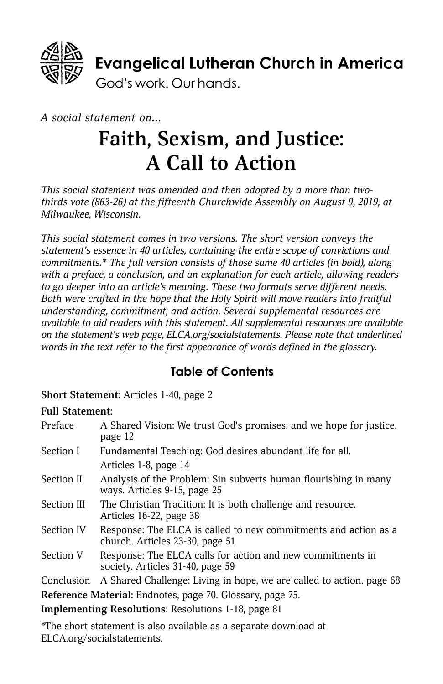

#### *A social statement on...*

# **Faith, Sexism, and Justice: A Call to Action**

*This social statement was amended and then adopted by a more than twothirds vote (863-26) at the fifteenth Churchwide Assembly on August 9, 2019, at Milwaukee, Wisconsin.* 

*This social statement comes in two versions. The short version conveys the statement's essence in 40 articles, containing the entire scope of convictions and commitments.\* The full version consists of those same 40 articles (in bold), along with a preface, a conclusion, and an explanation for each article, allowing readers to go deeper into an article's meaning. These two formats serve different needs. Both were crafted in the hope that the Holy Spirit will move readers into fruitful understanding, commitment, and action. Several supplemental resources are available to aid readers with this statement. All supplemental resources are available on the statement's web page, [ELCA.org/socialstatements](http://www.ELCA.org/socialstatements). Please note that underlined words in the text refer to the first appearance of words defined in the glossary.*

#### **Table of Contents**

**Short Statement:** Articles 1-40, page 2

#### **Full Statement:**

| Preface                                                   | A Shared Vision: We trust God's promises, and we hope for justice.<br>page 12                      |
|-----------------------------------------------------------|----------------------------------------------------------------------------------------------------|
| Section I                                                 | Fundamental Teaching: God desires abundant life for all.                                           |
|                                                           | Articles 1-8, page 14                                                                              |
| Section II                                                | Analysis of the Problem: Sin subverts human flourishing in many<br>ways. Articles 9-15, page 25    |
| Section III                                               | The Christian Tradition: It is both challenge and resource.<br>Articles 16-22, page 38             |
| Section IV                                                | Response: The ELCA is called to new commitments and action as a<br>church. Articles 23-30, page 51 |
| Section V                                                 | Response: The ELCA calls for action and new commitments in<br>society. Articles 31-40, page 59     |
| Conclusion                                                | A Shared Challenge: Living in hope, we are called to action. page 68                               |
| Reference Material: Endnotes, page 70. Glossary, page 75. |                                                                                                    |
| Implementing Resolutions: Resolutions 1-18, page 81       |                                                                                                    |

\*The short statement is also available as a separate download at [ELCA.org/socialstatements.](http://www.ELCA.org/socialstatements)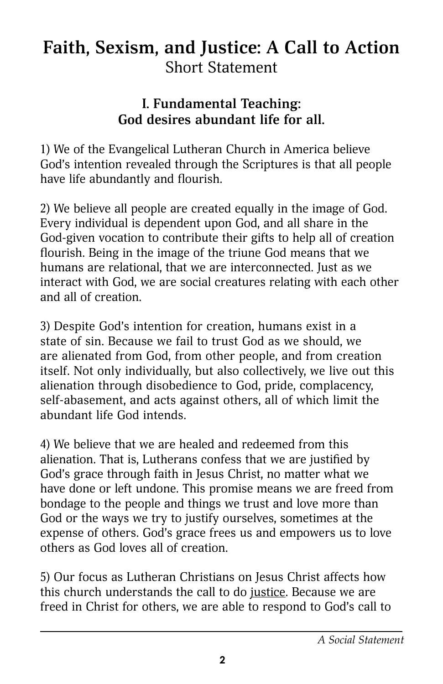# **Faith, Sexism, and Justice: A Call to Action** Short Statement

## **I. Fundamental Teaching: God desires abundant life for all.**

1) We of the Evangelical Lutheran Church in America believe God's intention revealed through the Scriptures is that all people have life abundantly and flourish.

2) We believe all people are created equally in the image of God. Every individual is dependent upon God, and all share in the God-given vocation to contribute their gifts to help all of creation flourish. Being in the image of the triune God means that we humans are relational, that we are interconnected. Just as we interact with God, we are social creatures relating with each other and all of creation.

3) Despite God's intention for creation, humans exist in a state of sin. Because we fail to trust God as we should, we are alienated from God, from other people, and from creation itself. Not only individually, but also collectively, we live out this alienation through disobedience to God, pride, complacency, self-abasement, and acts against others, all of which limit the abundant life God intends.

4) We believe that we are healed and redeemed from this alienation. That is, Lutherans confess that we are justified by God's grace through faith in Jesus Christ, no matter what we have done or left undone. This promise means we are freed from bondage to the people and things we trust and love more than God or the ways we try to justify ourselves, sometimes at the expense of others. God's grace frees us and empowers us to love others as God loves all of creation.

5) Our focus as Lutheran Christians on Jesus Christ affects how this church understands the call to do justice. Because we are freed in Christ for others, we are able to respond to God's call to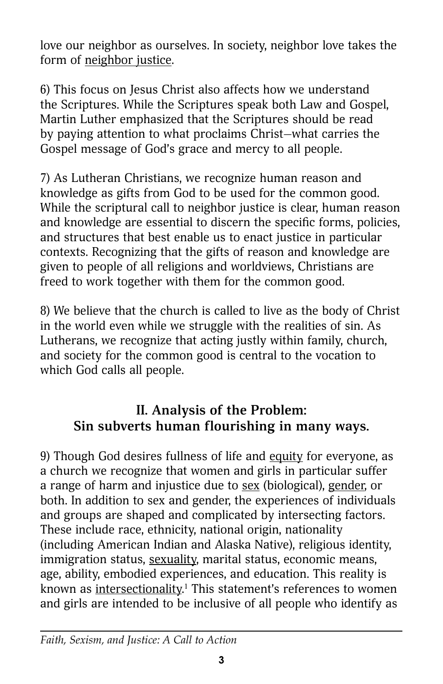love our neighbor as ourselves. In society, neighbor love takes the form of neighbor justice.

6) This focus on Jesus Christ also affects how we understand the Scriptures. While the Scriptures speak both Law and Gospel, Martin Luther emphasized that the Scriptures should be read by paying attention to what proclaims Christ—what carries the Gospel message of God's grace and mercy to all people.

7) As Lutheran Christians, we recognize human reason and knowledge as gifts from God to be used for the common good. While the scriptural call to neighbor justice is clear, human reason and knowledge are essential to discern the specific forms, policies, and structures that best enable us to enact justice in particular contexts. Recognizing that the gifts of reason and knowledge are given to people of all religions and worldviews, Christians are freed to work together with them for the common good.

8) We believe that the church is called to live as the body of Christ in the world even while we struggle with the realities of sin. As Lutherans, we recognize that acting justly within family, church, and society for the common good is central to the vocation to which God calls all people.

# **II. Analysis of the Problem: Sin subverts human flourishing in many ways.**

9) Though God desires fullness of life and equity for everyone, as a church we recognize that women and girls in particular suffer a range of harm and injustice due to sex (biological), gender, or both. In addition to sex and gender, the experiences of individuals and groups are shaped and complicated by intersecting factors. These include race, ethnicity, national origin, nationality (including American Indian and Alaska Native), religious identity, immigration status, sexuality, marital status, economic means, age, ability, embodied experiences, and education. This reality is known as <u>intersectionality.</u><sup>1</sup> This statement's references to women and girls are intended to be inclusive of all people who identify as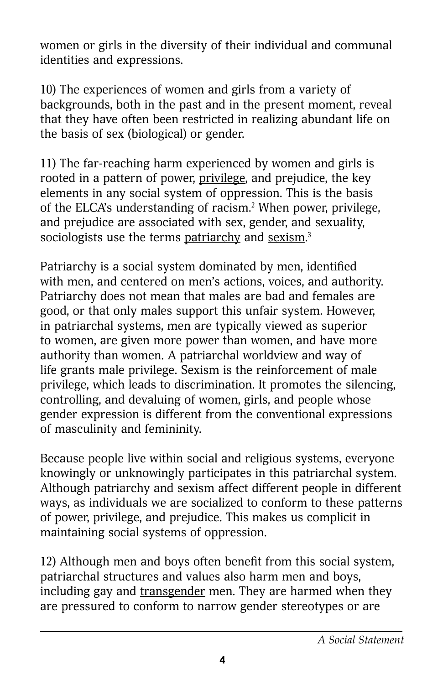women or girls in the diversity of their individual and communal identities and expressions.

10) The experiences of women and girls from a variety of backgrounds, both in the past and in the present moment, reveal that they have often been restricted in realizing abundant life on the basis of sex (biological) or gender.

11) The far-reaching harm experienced by women and girls is rooted in a pattern of power, privilege, and prejudice, the key elements in any social system of oppression. This is the basis of the ELCA's understanding of racism.2 When power, privilege, and prejudice are associated with sex, gender, and sexuality, sociologists use the terms <u>patriarchy</u> and <u>sexism</u>.<sup>3</sup>

Patriarchy is a social system dominated by men, identified with men, and centered on men's actions, voices, and authority. Patriarchy does not mean that males are bad and females are good, or that only males support this unfair system. However, in patriarchal systems, men are typically viewed as superior to women, are given more power than women, and have more authority than women. A patriarchal worldview and way of life grants male privilege. Sexism is the reinforcement of male privilege, which leads to discrimination. It promotes the silencing, controlling, and devaluing of women, girls, and people whose gender expression is different from the conventional expressions of masculinity and femininity.

Because people live within social and religious systems, everyone knowingly or unknowingly participates in this patriarchal system. Although patriarchy and sexism affect different people in different ways, as individuals we are socialized to conform to these patterns of power, privilege, and prejudice. This makes us complicit in maintaining social systems of oppression.

12) Although men and boys often benefit from this social system, patriarchal structures and values also harm men and boys, including gay and transgender men. They are harmed when they are pressured to conform to narrow gender stereotypes or are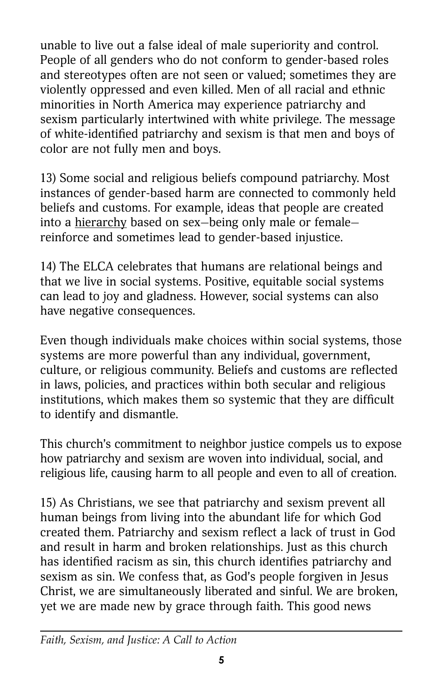unable to live out a false ideal of male superiority and control. People of all genders who do not conform to gender-based roles and stereotypes often are not seen or valued; sometimes they are violently oppressed and even killed. Men of all racial and ethnic minorities in North America may experience patriarchy and sexism particularly intertwined with white privilege. The message of white-identified patriarchy and sexism is that men and boys of color are not fully men and boys.

13) Some social and religious beliefs compound patriarchy. Most instances of gender-based harm are connected to commonly held beliefs and customs. For example, ideas that people are created into a hierarchy based on sex—being only male or female reinforce and sometimes lead to gender-based injustice.

14) The ELCA celebrates that humans are relational beings and that we live in social systems. Positive, equitable social systems can lead to joy and gladness. However, social systems can also have negative consequences.

Even though individuals make choices within social systems, those systems are more powerful than any individual, government, culture, or religious community. Beliefs and customs are reflected in laws, policies, and practices within both secular and religious institutions, which makes them so systemic that they are difficult to identify and dismantle.

This church's commitment to neighbor justice compels us to expose how patriarchy and sexism are woven into individual, social, and religious life, causing harm to all people and even to all of creation.

15) As Christians, we see that patriarchy and sexism prevent all human beings from living into the abundant life for which God created them. Patriarchy and sexism reflect a lack of trust in God and result in harm and broken relationships. Just as this church has identified racism as sin, this church identifies patriarchy and sexism as sin. We confess that, as God's people forgiven in Jesus Christ, we are simultaneously liberated and sinful. We are broken, yet we are made new by grace through faith. This good news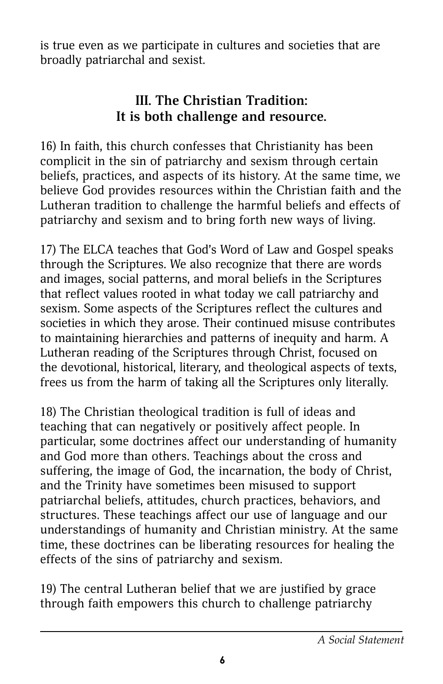is true even as we participate in cultures and societies that are broadly patriarchal and sexist.

# **III. The Christian Tradition: It is both challenge and resource.**

16) In faith, this church confesses that Christianity has been complicit in the sin of patriarchy and sexism through certain beliefs, practices, and aspects of its history. At the same time, we believe God provides resources within the Christian faith and the Lutheran tradition to challenge the harmful beliefs and effects of patriarchy and sexism and to bring forth new ways of living.

17) The ELCA teaches that God's Word of Law and Gospel speaks through the Scriptures. We also recognize that there are words and images, social patterns, and moral beliefs in the Scriptures that reflect values rooted in what today we call patriarchy and sexism. Some aspects of the Scriptures reflect the cultures and societies in which they arose. Their continued misuse contributes to maintaining hierarchies and patterns of inequity and harm. A Lutheran reading of the Scriptures through Christ, focused on the devotional, historical, literary, and theological aspects of texts, frees us from the harm of taking all the Scriptures only literally.

18) The Christian theological tradition is full of ideas and teaching that can negatively or positively affect people. In particular, some doctrines affect our understanding of humanity and God more than others. Teachings about the cross and suffering, the image of God, the incarnation, the body of Christ, and the Trinity have sometimes been misused to support patriarchal beliefs, attitudes, church practices, behaviors, and structures. These teachings affect our use of language and our understandings of humanity and Christian ministry. At the same time, these doctrines can be liberating resources for healing the effects of the sins of patriarchy and sexism.

19) The central Lutheran belief that we are justified by grace through faith empowers this church to challenge patriarchy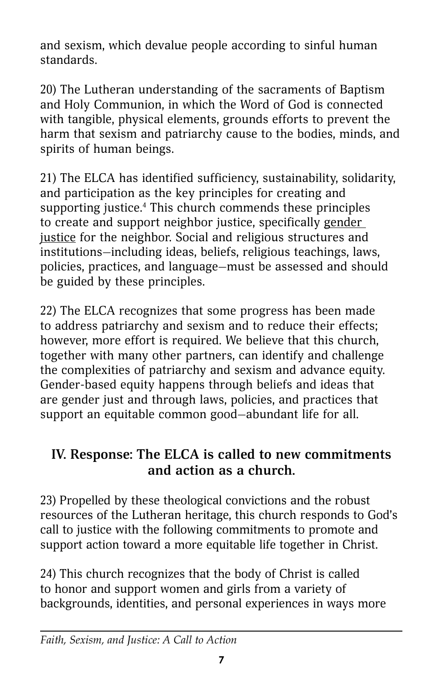and sexism, which devalue people according to sinful human standards.

20) The Lutheran understanding of the sacraments of Baptism and Holy Communion, in which the Word of God is connected with tangible, physical elements, grounds efforts to prevent the harm that sexism and patriarchy cause to the bodies, minds, and spirits of human beings.

21) The ELCA has identified sufficiency, sustainability, solidarity, and participation as the key principles for creating and supporting justice.4 This church commends these principles to create and support neighbor justice, specifically gender justice for the neighbor. Social and religious structures and institutions—including ideas, beliefs, religious teachings, laws, policies, practices, and language—must be assessed and should be guided by these principles.

22) The ELCA recognizes that some progress has been made to address patriarchy and sexism and to reduce their effects; however, more effort is required. We believe that this church, together with many other partners, can identify and challenge the complexities of patriarchy and sexism and advance equity. Gender-based equity happens through beliefs and ideas that are gender just and through laws, policies, and practices that support an equitable common good—abundant life for all.

## **IV. Response: The ELCA is called to new commitments and action as a church.**

23) Propelled by these theological convictions and the robust resources of the Lutheran heritage, this church responds to God's call to justice with the following commitments to promote and support action toward a more equitable life together in Christ.

24) This church recognizes that the body of Christ is called to honor and support women and girls from a variety of backgrounds, identities, and personal experiences in ways more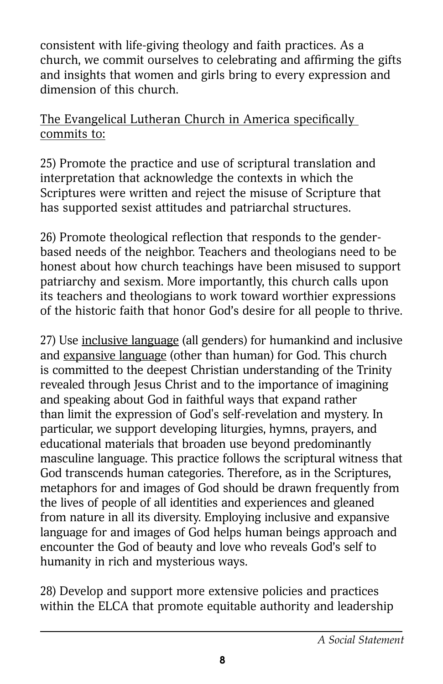consistent with life-giving theology and faith practices. As a church, we commit ourselves to celebrating and affirming the gifts and insights that women and girls bring to every expression and dimension of this church.

#### The Evangelical Lutheran Church in America specifically commits to:

25) Promote the practice and use of scriptural translation and interpretation that acknowledge the contexts in which the Scriptures were written and reject the misuse of Scripture that has supported sexist attitudes and patriarchal structures.

26) Promote theological reflection that responds to the genderbased needs of the neighbor. Teachers and theologians need to be honest about how church teachings have been misused to support patriarchy and sexism. More importantly, this church calls upon its teachers and theologians to work toward worthier expressions of the historic faith that honor God's desire for all people to thrive.

27) Use inclusive language (all genders) for humankind and inclusive and expansive language (other than human) for God. This church is committed to the deepest Christian understanding of the Trinity revealed through Jesus Christ and to the importance of imagining and speaking about God in faithful ways that expand rather than limit the expression of God's self-revelation and mystery. In particular, we support developing liturgies, hymns, prayers, and educational materials that broaden use beyond predominantly masculine language. This practice follows the scriptural witness that God transcends human categories. Therefore, as in the Scriptures, metaphors for and images of God should be drawn frequently from the lives of people of all identities and experiences and gleaned from nature in all its diversity. Employing inclusive and expansive language for and images of God helps human beings approach and encounter the God of beauty and love who reveals God's self to humanity in rich and mysterious ways.

28) Develop and support more extensive policies and practices within the ELCA that promote equitable authority and leadership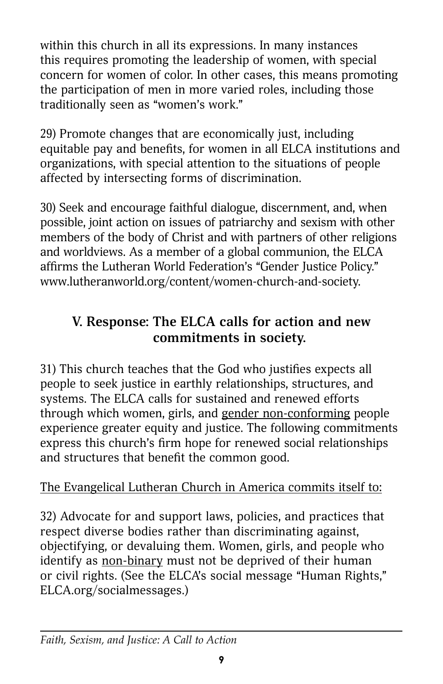within this church in all its expressions. In many instances this requires promoting the leadership of women, with special concern for women of color. In other cases, this means promoting the participation of men in more varied roles, including those traditionally seen as "women's work."

29) Promote changes that are economically just, including equitable pay and benefits, for women in all ELCA institutions and organizations, with special attention to the situations of people affected by intersecting forms of discrimination.

30) Seek and encourage faithful dialogue, discernment, and, when possible, joint action on issues of patriarchy and sexism with other members of the body of Christ and with partners of other religions and worldviews. As a member of a global communion, the ELCA affirms the Lutheran World Federation's "Gender Justice Policy." [www.lutheranworld.org/content/women-church-and-society](http://www.lutheranworld.org/content/women-church-and-society).

# **V. Response: The ELCA calls for action and new commitments in society.**

31) This church teaches that the God who justifies expects all people to seek justice in earthly relationships, structures, and systems. The ELCA calls for sustained and renewed efforts through which women, girls, and gender non-conforming people experience greater equity and justice. The following commitments express this church's firm hope for renewed social relationships and structures that benefit the common good.

#### The Evangelical Lutheran Church in America commits itself to:

32) Advocate for and support laws, policies, and practices that respect diverse bodies rather than discriminating against, objectifying, or devaluing them. Women, girls, and people who identify as non-binary must not be deprived of their human or civil rights. (See the ELCA's social message "Human Rights," [ELCA.org/socialmessages.](http://www.ELCA.org/socialmessages))

#### *Faith, Sexism, and Justice: A Call to Action*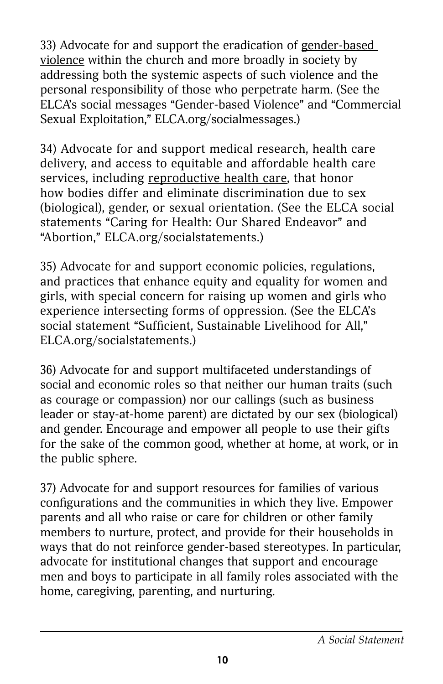33) Advocate for and support the eradication of gender-based violence within the church and more broadly in society by addressing both the systemic aspects of such violence and the personal responsibility of those who perpetrate harm. (See the ELCA's social messages "Gender-based Violence" and "Commercial Sexual Exploitation," [ELCA.org/socialmessages.](http://www.ELCA.org/socialmessages))

34) Advocate for and support medical research, health care delivery, and access to equitable and affordable health care services, including reproductive health care, that honor how bodies differ and eliminate discrimination due to sex (biological), gender, or sexual orientation. (See the ELCA social statements "Caring for Health: Our Shared Endeavor" and "Abortion," [ELCA.org/socialstatements.](http://www.ELCA.org/socialstatements))

35) Advocate for and support economic policies, regulations, and practices that enhance equity and equality for women and girls, with special concern for raising up women and girls who experience intersecting forms of oppression. (See the ELCA's social statement "Sufficient, Sustainable Livelihood for All," [ELCA.org/socialstatements](http://www.ELCA.org/socialstatements).)

36) Advocate for and support multifaceted understandings of social and economic roles so that neither our human traits (such as courage or compassion) nor our callings (such as business leader or stay-at-home parent) are dictated by our sex (biological) and gender. Encourage and empower all people to use their gifts for the sake of the common good, whether at home, at work, or in the public sphere.

37) Advocate for and support resources for families of various configurations and the communities in which they live. Empower parents and all who raise or care for children or other family members to nurture, protect, and provide for their households in ways that do not reinforce gender-based stereotypes. In particular, advocate for institutional changes that support and encourage men and boys to participate in all family roles associated with the home, caregiving, parenting, and nurturing.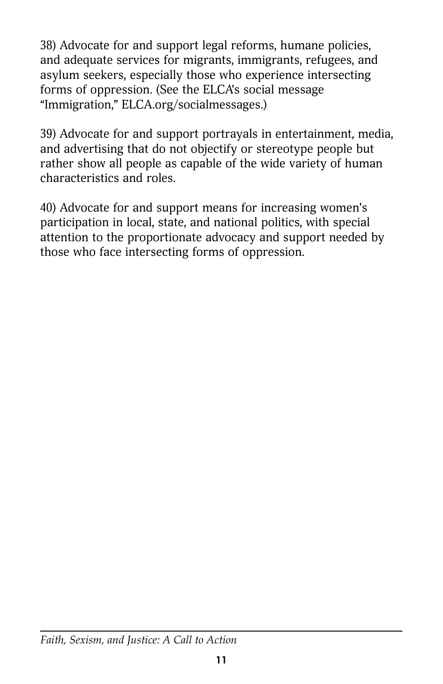38) Advocate for and support legal reforms, humane policies, and adequate services for migrants, immigrants, refugees, and asylum seekers, especially those who experience intersecting forms of oppression. (See the ELCA's social message "Immigration," [ELCA.org/socialmessages.](http://www.ELCA.org/socialmessages))

39) Advocate for and support portrayals in entertainment, media, and advertising that do not objectify or stereotype people but rather show all people as capable of the wide variety of human characteristics and roles.

40) Advocate for and support means for increasing women's participation in local, state, and national politics, with special attention to the proportionate advocacy and support needed by those who face intersecting forms of oppression.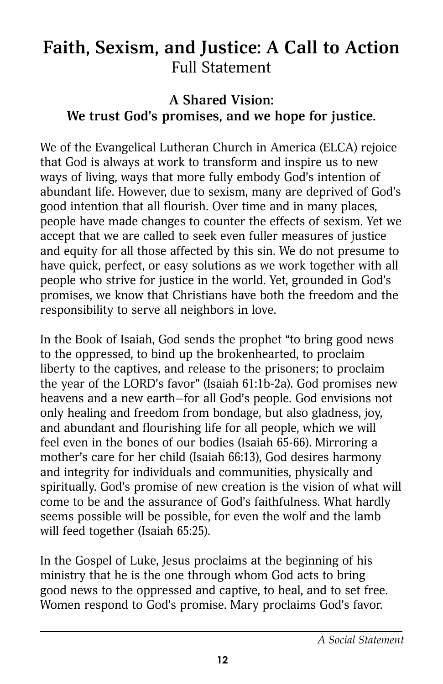# **Faith, Sexism, and Justice: A Call to Action** Full Statement

### **A Shared Vision: We trust God's promises, and we hope for justice.**

We of the Evangelical Lutheran Church in America (ELCA) rejoice that God is always at work to transform and inspire us to new ways of living, ways that more fully embody God's intention of abundant life. However, due to sexism, many are deprived of God's good intention that all flourish. Over time and in many places, people have made changes to counter the effects of sexism. Yet we accept that we are called to seek even fuller measures of justice and equity for all those affected by this sin. We do not presume to have quick, perfect, or easy solutions as we work together with all people who strive for justice in the world. Yet, grounded in God's promises, we know that Christians have both the freedom and the responsibility to serve all neighbors in love.

In the Book of Isaiah, God sends the prophet "to bring good news to the oppressed, to bind up the brokenhearted, to proclaim liberty to the captives, and release to the prisoners; to proclaim the year of the LORD's favor" (Isaiah 61:1b-2a). God promises new heavens and a new earth—for all God's people. God envisions not only healing and freedom from bondage, but also gladness, joy, and abundant and flourishing life for all people, which we will feel even in the bones of our bodies (Isaiah 65-66). Mirroring a mother's care for her child (Isaiah 66:13), God desires harmony and integrity for individuals and communities, physically and spiritually. God's promise of new creation is the vision of what will come to be and the assurance of God's faithfulness. What hardly seems possible will be possible, for even the wolf and the lamb will feed together (Isaiah 65:25).

In the Gospel of Luke, Jesus proclaims at the beginning of his ministry that he is the one through whom God acts to bring good news to the oppressed and captive, to heal, and to set free. Women respond to God's promise. Mary proclaims God's favor.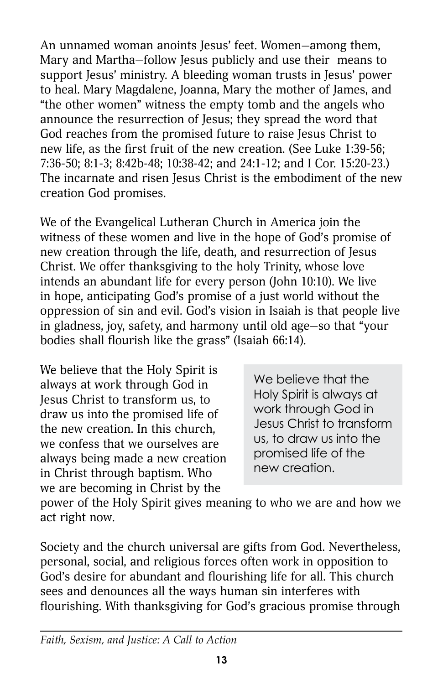An unnamed woman anoints Jesus' feet. Women—among them, Mary and Martha—follow Jesus publicly and use their means to support Jesus' ministry. A bleeding woman trusts in Jesus' power to heal. Mary Magdalene, Joanna, Mary the mother of James, and "the other women" witness the empty tomb and the angels who announce the resurrection of Jesus; they spread the word that God reaches from the promised future to raise Jesus Christ to new life, as the first fruit of the new creation. (See Luke 1:39-56; 7:36-50; 8:1-3; 8:42b-48; 10:38-42; and 24:1-12; and I Cor. 15:20-23.) The incarnate and risen Jesus Christ is the embodiment of the new creation God promises.

We of the Evangelical Lutheran Church in America join the witness of these women and live in the hope of God's promise of new creation through the life, death, and resurrection of Jesus Christ. We offer thanksgiving to the holy Trinity, whose love intends an abundant life for every person (John 10:10). We live in hope, anticipating God's promise of a just world without the oppression of sin and evil. God's vision in Isaiah is that people live in gladness, joy, safety, and harmony until old age—so that "your bodies shall flourish like the grass" (Isaiah 66:14).

We believe that the Holy Spirit is always at work through God in Jesus Christ to transform us, to draw us into the promised life of the new creation. In this church, we confess that we ourselves are always being made a new creation in Christ through baptism. Who we are becoming in Christ by the

We believe that the Holy Spirit is always at work through God in Jesus Christ to transform us, to draw us into the promised life of the new creation.

power of the Holy Spirit gives meaning to who we are and how we act right now.

Society and the church universal are gifts from God. Nevertheless, personal, social, and religious forces often work in opposition to God's desire for abundant and flourishing life for all. This church sees and denounces all the ways human sin interferes with flourishing. With thanksgiving for God's gracious promise through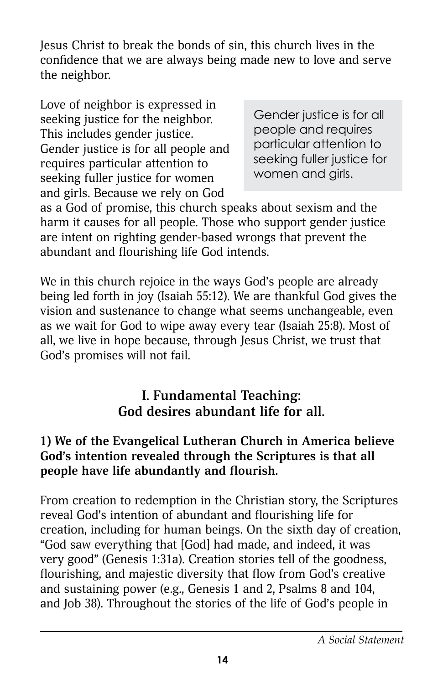Jesus Christ to break the bonds of sin, this church lives in the confidence that we are always being made new to love and serve the neighbor.

Love of neighbor is expressed in seeking justice for the neighbor. This includes gender justice. Gender justice is for all people and requires particular attention to seeking fuller justice for women and girls. Because we rely on God

Gender justice is for all people and requires particular attention to seeking fuller justice for women and girls.

as a God of promise, this church speaks about sexism and the harm it causes for all people. Those who support gender justice are intent on righting gender-based wrongs that prevent the abundant and flourishing life God intends.

We in this church rejoice in the ways God's people are already being led forth in joy (Isaiah 55:12). We are thankful God gives the vision and sustenance to change what seems unchangeable, even as we wait for God to wipe away every tear (Isaiah 25:8). Most of all, we live in hope because, through Jesus Christ, we trust that God's promises will not fail.

## **I. Fundamental Teaching: God desires abundant life for all.**

#### **1) We of the Evangelical Lutheran Church in America believe God's intention revealed through the Scriptures is that all people have life abundantly and flourish.**

From creation to redemption in the Christian story, the Scriptures reveal God's intention of abundant and flourishing life for creation, including for human beings. On the sixth day of creation, "God saw everything that [God] had made, and indeed, it was very good" (Genesis 1:31a). Creation stories tell of the goodness, flourishing, and majestic diversity that flow from God's creative and sustaining power (e.g., Genesis 1 and 2, Psalms 8 and 104, and Job 38). Throughout the stories of the life of God's people in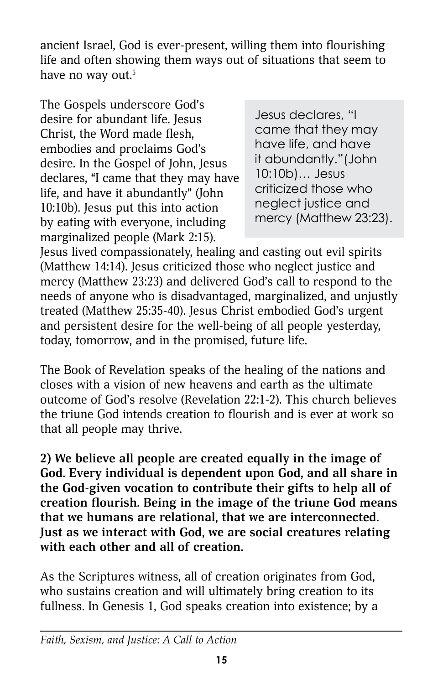ancient Israel, God is ever-present, willing them into flourishing life and often showing them ways out of situations that seem to have no way out. $5$ 

The Gospels underscore God's desire for abundant life. Jesus Christ, the Word made flesh, embodies and proclaims God's desire. In the Gospel of John, Jesus declares, "I came that they may have life, and have it abundantly" (John 10:10b). Jesus put this into action by eating with everyone, including marginalized people (Mark 2:15).

Jesus declares, "I came that they may have life, and have it abundantly."(John 10:10b)… Jesus criticized those who neglect justice and mercy (Matthew 23:23).

Jesus lived compassionately, healing and casting out evil spirits (Matthew 14:14). Jesus criticized those who neglect justice and mercy (Matthew 23:23) and delivered God's call to respond to the needs of anyone who is disadvantaged, marginalized, and unjustly treated (Matthew 25:35-40). Jesus Christ embodied God's urgent and persistent desire for the well-being of all people yesterday, today, tomorrow, and in the promised, future life.

The Book of Revelation speaks of the healing of the nations and closes with a vision of new heavens and earth as the ultimate outcome of God's resolve (Revelation 22:1-2). This church believes the triune God intends creation to flourish and is ever at work so that all people may thrive.

**2) We believe all people are created equally in the image of God. Every individual is dependent upon God, and all share in the God-given vocation to contribute their gifts to help all of creation flourish. Being in the image of the triune God means that we humans are relational, that we are interconnected. Just as we interact with God, we are social creatures relating with each other and all of creation.**

As the Scriptures witness, all of creation originates from God, who sustains creation and will ultimately bring creation to its fullness. In Genesis 1, God speaks creation into existence; by a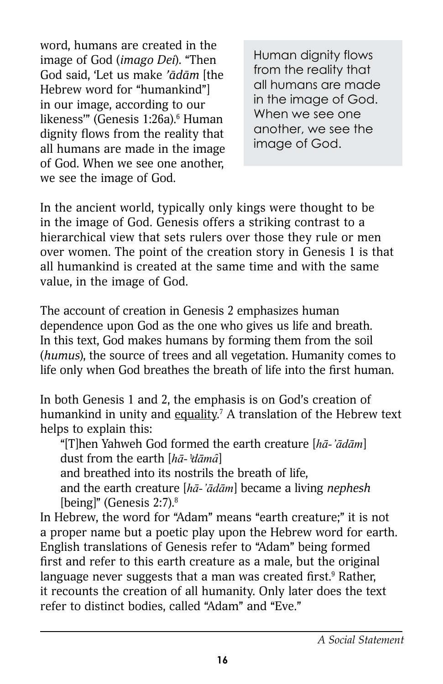word, humans are created in the image of God (*imago Dei*). "Then God said, 'Let us make *'ādām* [the Hebrew word for "humankind"] in our image, according to our likeness'" (Genesis 1:26a).<sup>6</sup> Human dignity flows from the reality that all humans are made in the image of God. When we see one another, we see the image of God.

Human dignity flows from the reality that all humans are made in the image of God. When we see one another, we see the image of God.

In the ancient world, typically only kings were thought to be in the image of God. Genesis offers a striking contrast to a hierarchical view that sets rulers over those they rule or men over women. The point of the creation story in Genesis 1 is that all humankind is created at the same time and with the same value, in the image of God.

The account of creation in Genesis 2 emphasizes human dependence upon God as the one who gives us life and breath. In this text, God makes humans by forming them from the soil (*humus*), the source of trees and all vegetation. Humanity comes to life only when God breathes the breath of life into the first human.

In both Genesis 1 and 2, the emphasis is on God's creation of humankind in unity and <u>equality.</u><sup>7</sup> A translation of the Hebrew text helps to explain this:

"[T]hen Yahweh God formed the earth creature [*hā-'ādām*] dust from the earth [*hā-'ͣdāmȃ*]

and breathed into its nostrils the breath of life,

and the earth creature [*hā-'ādām*] became a living *nephesh* [being]" (Genesis 2:7).<sup>8</sup>

In Hebrew, the word for "Adam" means "earth creature;" it is not a proper name but a poetic play upon the Hebrew word for earth. English translations of Genesis refer to "Adam" being formed first and refer to this earth creature as a male, but the original language never suggests that a man was created first.<sup>9</sup> Rather, it recounts the creation of all humanity. Only later does the text refer to distinct bodies, called "Adam" and "Eve."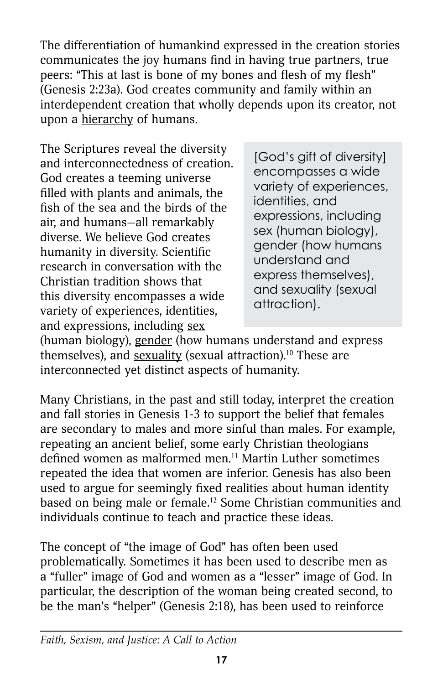The differentiation of humankind expressed in the creation stories communicates the joy humans find in having true partners, true peers: "This at last is bone of my bones and flesh of my flesh" (Genesis 2:23a). God creates community and family within an interdependent creation that wholly depends upon its creator, not upon a hierarchy of humans.

The Scriptures reveal the diversity and interconnectedness of creation. God creates a teeming universe filled with plants and animals, the fish of the sea and the birds of the air, and humans—all remarkably diverse. We believe God creates humanity in diversity. Scientific research in conversation with the Christian tradition shows that this diversity encompasses a wide variety of experiences, identities, and expressions, including sex

[God's gift of diversity] encompasses a wide variety of experiences, identities, and expressions, including sex (human biology), gender (how humans understand and express themselves), and sexuality (sexual attraction).

(human biology), gender (how humans understand and express themselves), and sexuality (sexual attraction).<sup>10</sup> These are interconnected yet distinct aspects of humanity.

Many Christians, in the past and still today, interpret the creation and fall stories in Genesis 1-3 to support the belief that females are secondary to males and more sinful than males. For example, repeating an ancient belief, some early Christian theologians defined women as malformed men.11 Martin Luther sometimes repeated the idea that women are inferior. Genesis has also been used to argue for seemingly fixed realities about human identity based on being male or female.12 Some Christian communities and individuals continue to teach and practice these ideas.

The concept of "the image of God" has often been used problematically. Sometimes it has been used to describe men as a "fuller" image of God and women as a "lesser" image of God. In particular, the description of the woman being created second, to be the man's "helper" (Genesis 2:18), has been used to reinforce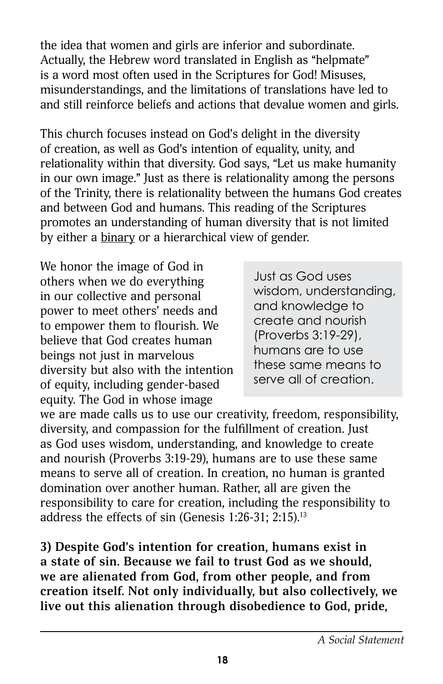the idea that women and girls are inferior and subordinate. Actually, the Hebrew word translated in English as "helpmate" is a word most often used in the Scriptures for God! Misuses, misunderstandings, and the limitations of translations have led to and still reinforce beliefs and actions that devalue women and girls.

This church focuses instead on God's delight in the diversity of creation, as well as God's intention of equality, unity, and relationality within that diversity. God says, "Let us make humanity in our own image." Just as there is relationality among the persons of the Trinity, there is relationality between the humans God creates and between God and humans. This reading of the Scriptures promotes an understanding of human diversity that is not limited by either a binary or a hierarchical view of gender.

We honor the image of God in others when we do everything in our collective and personal power to meet others' needs and to empower them to flourish. We believe that God creates human beings not just in marvelous diversity but also with the intention of equity, including gender-based equity. The God in whose image

Just as God uses wisdom, understanding, and knowledge to create and nourish (Proverbs 3:19-29), humans are to use these same means to serve all of creation.

we are made calls us to use our creativity, freedom, responsibility, diversity, and compassion for the fulfillment of creation. Just as God uses wisdom, understanding, and knowledge to create and nourish (Proverbs 3:19-29), humans are to use these same means to serve all of creation. In creation, no human is granted domination over another human. Rather, all are given the responsibility to care for creation, including the responsibility to address the effects of sin (Genesis 1:26-31; 2:15).13

**3) Despite God's intention for creation, humans exist in a state of sin. Because we fail to trust God as we should, we are alienated from God, from other people, and from creation itself. Not only individually, but also collectively, we live out this alienation through disobedience to God, pride,**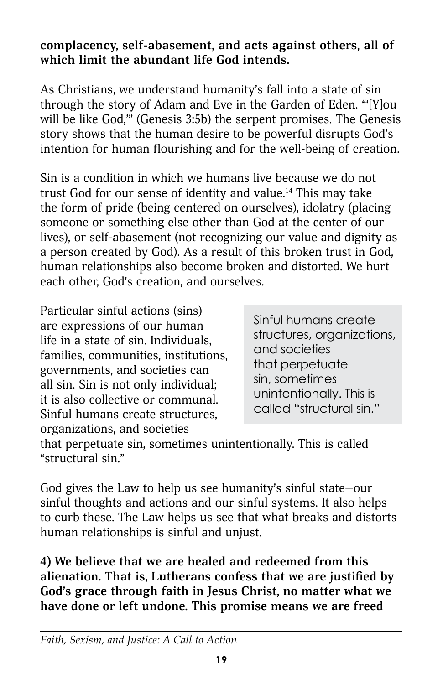#### **complacency, self-abasement, and acts against others, all of which limit the abundant life God intends.**

As Christians, we understand humanity's fall into a state of sin through the story of Adam and Eve in the Garden of Eden. "'[Y]ou will be like God,'" (Genesis 3:5b) the serpent promises. The Genesis story shows that the human desire to be powerful disrupts God's intention for human flourishing and for the well-being of creation.

Sin is a condition in which we humans live because we do not trust God for our sense of identity and value.<sup>14</sup> This may take the form of pride (being centered on ourselves), idolatry (placing someone or something else other than God at the center of our lives), or self-abasement (not recognizing our value and dignity as a person created by God). As a result of this broken trust in God, human relationships also become broken and distorted. We hurt each other, God's creation, and ourselves.

Particular sinful actions (sins) are expressions of our human life in a state of sin. Individuals, families, communities, institutions, governments, and societies can all sin. Sin is not only individual; it is also collective or communal. Sinful humans create structures, organizations, and societies

Sinful humans create structures, organizations, and societies that perpetuate sin, sometimes unintentionally. This is called "structural sin."

that perpetuate sin, sometimes unintentionally. This is called "structural sin."

God gives the Law to help us see humanity's sinful state—our sinful thoughts and actions and our sinful systems. It also helps to curb these. The Law helps us see that what breaks and distorts human relationships is sinful and unjust.

**4) We believe that we are healed and redeemed from this alienation. That is, Lutherans confess that we are justified by God's grace through faith in Jesus Christ, no matter what we have done or left undone. This promise means we are freed**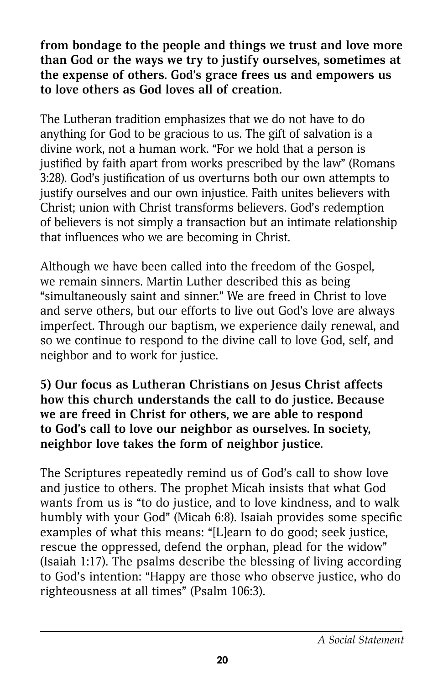**from bondage to the people and things we trust and love more than God or the ways we try to justify ourselves, sometimes at the expense of others. God's grace frees us and empowers us to love others as God loves all of creation.**

The Lutheran tradition emphasizes that we do not have to do anything for God to be gracious to us. The gift of salvation is a divine work, not a human work. "For we hold that a person is justified by faith apart from works prescribed by the law" (Romans 3:28). God's justification of us overturns both our own attempts to justify ourselves and our own injustice. Faith unites believers with Christ; union with Christ transforms believers. God's redemption of believers is not simply a transaction but an intimate relationship that influences who we are becoming in Christ.

Although we have been called into the freedom of the Gospel, we remain sinners. Martin Luther described this as being "simultaneously saint and sinner." We are freed in Christ to love and serve others, but our efforts to live out God's love are always imperfect. Through our baptism, we experience daily renewal, and so we continue to respond to the divine call to love God, self, and neighbor and to work for justice.

**5) Our focus as Lutheran Christians on Jesus Christ affects how this church understands the call to do justice. Because we are freed in Christ for others, we are able to respond to God's call to love our neighbor as ourselves. In society, neighbor love takes the form of neighbor justice.**

The Scriptures repeatedly remind us of God's call to show love and justice to others. The prophet Micah insists that what God wants from us is "to do justice, and to love kindness, and to walk humbly with your God" (Micah 6:8). Isaiah provides some specific examples of what this means: "[L]earn to do good; seek justice, rescue the oppressed, defend the orphan, plead for the widow" (Isaiah 1:17). The psalms describe the blessing of living according to God's intention: "Happy are those who observe justice, who do righteousness at all times" (Psalm 106:3).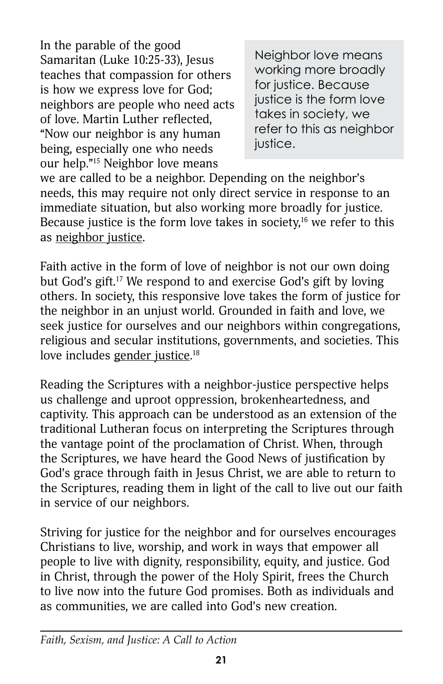In the parable of the good Samaritan (Luke 10:25-33), Jesus teaches that compassion for others is how we express love for God; neighbors are people who need acts of love. Martin Luther reflected, "Now our neighbor is any human being, especially one who needs our help."15 Neighbor love means

Neighbor love means working more broadly for justice. Because justice is the form love takes in society, we refer to this as neighbor justice.

we are called to be a neighbor. Depending on the neighbor's needs, this may require not only direct service in response to an immediate situation, but also working more broadly for justice. Because justice is the form love takes in society,<sup>16</sup> we refer to this as neighbor justice.

Faith active in the form of love of neighbor is not our own doing but God's gift.17 We respond to and exercise God's gift by loving others. In society, this responsive love takes the form of justice for the neighbor in an unjust world. Grounded in faith and love, we seek justice for ourselves and our neighbors within congregations, religious and secular institutions, governments, and societies. This love includes g<u>ender justice</u>.18

Reading the Scriptures with a neighbor-justice perspective helps us challenge and uproot oppression, brokenheartedness, and captivity. This approach can be understood as an extension of the traditional Lutheran focus on interpreting the Scriptures through the vantage point of the proclamation of Christ. When, through the Scriptures, we have heard the Good News of justification by God's grace through faith in Jesus Christ, we are able to return to the Scriptures, reading them in light of the call to live out our faith in service of our neighbors.

Striving for justice for the neighbor and for ourselves encourages Christians to live, worship, and work in ways that empower all people to live with dignity, responsibility, equity, and justice. God in Christ, through the power of the Holy Spirit, frees the Church to live now into the future God promises. Both as individuals and as communities, we are called into God's new creation.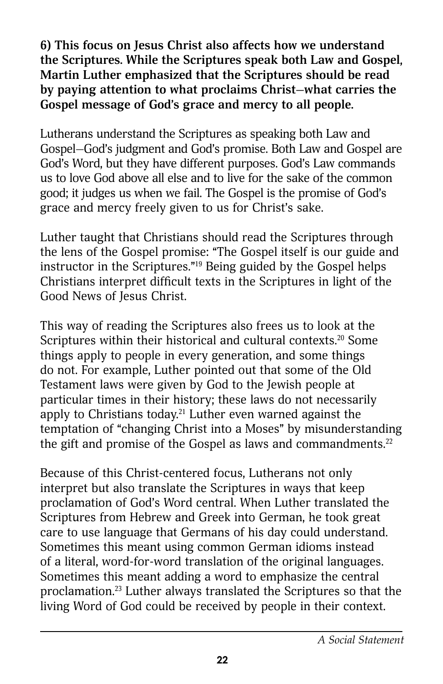**6) This focus on Jesus Christ also affects how we understand the Scriptures. While the Scriptures speak both Law and Gospel, Martin Luther emphasized that the Scriptures should be read by paying attention to what proclaims Christ—what carries the Gospel message of God's grace and mercy to all people.**

Lutherans understand the Scriptures as speaking both Law and Gospel—God's judgment and God's promise. Both Law and Gospel are God's Word, but they have different purposes. God's Law commands us to love God above all else and to live for the sake of the common good; it judges us when we fail. The Gospel is the promise of God's grace and mercy freely given to us for Christ's sake.

Luther taught that Christians should read the Scriptures through the lens of the Gospel promise: "The Gospel itself is our guide and instructor in the Scriptures."19 Being guided by the Gospel helps Christians interpret difficult texts in the Scriptures in light of the Good News of Jesus Christ.

This way of reading the Scriptures also frees us to look at the Scriptures within their historical and cultural contexts.<sup>20</sup> Some things apply to people in every generation, and some things do not. For example, Luther pointed out that some of the Old Testament laws were given by God to the Jewish people at particular times in their history; these laws do not necessarily apply to Christians today.<sup>21</sup> Luther even warned against the temptation of "changing Christ into a Moses" by misunderstanding the gift and promise of the Gospel as laws and commandments. $22$ 

Because of this Christ-centered focus, Lutherans not only interpret but also translate the Scriptures in ways that keep proclamation of God's Word central. When Luther translated the Scriptures from Hebrew and Greek into German, he took great care to use language that Germans of his day could understand. Sometimes this meant using common German idioms instead of a literal, word-for-word translation of the original languages. Sometimes this meant adding a word to emphasize the central proclamation.23 Luther always translated the Scriptures so that the living Word of God could be received by people in their context.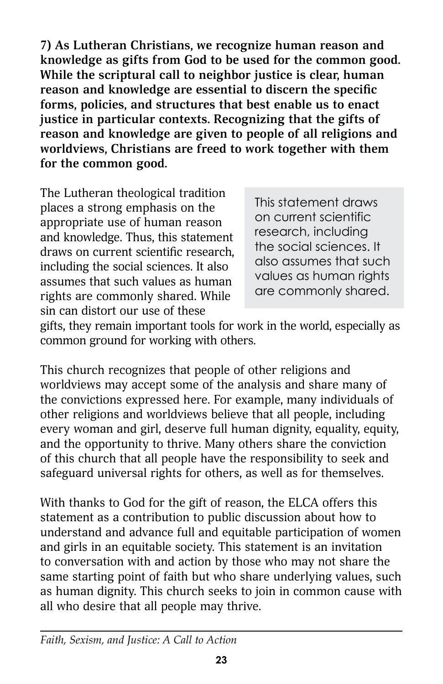**7) As Lutheran Christians, we recognize human reason and knowledge as gifts from God to be used for the common good. While the scriptural call to neighbor justice is clear, human reason and knowledge are essential to discern the specific forms, policies, and structures that best enable us to enact justice in particular contexts. Recognizing that the gifts of reason and knowledge are given to people of all religions and worldviews, Christians are freed to work together with them for the common good.**

The Lutheran theological tradition places a strong emphasis on the appropriate use of human reason and knowledge. Thus, this statement draws on current scientific research, including the social sciences. It also assumes that such values as human rights are commonly shared. While sin can distort our use of these

This statement draws on current scientific research, including the social sciences. It also assumes that such values as human rights are commonly shared.

gifts, they remain important tools for work in the world, especially as common ground for working with others.

This church recognizes that people of other religions and worldviews may accept some of the analysis and share many of the convictions expressed here. For example, many individuals of other religions and worldviews believe that all people, including every woman and girl, deserve full human dignity, equality, equity, and the opportunity to thrive. Many others share the conviction of this church that all people have the responsibility to seek and safeguard universal rights for others, as well as for themselves.

With thanks to God for the gift of reason, the ELCA offers this statement as a contribution to public discussion about how to understand and advance full and equitable participation of women and girls in an equitable society. This statement is an invitation to conversation with and action by those who may not share the same starting point of faith but who share underlying values, such as human dignity. This church seeks to join in common cause with all who desire that all people may thrive.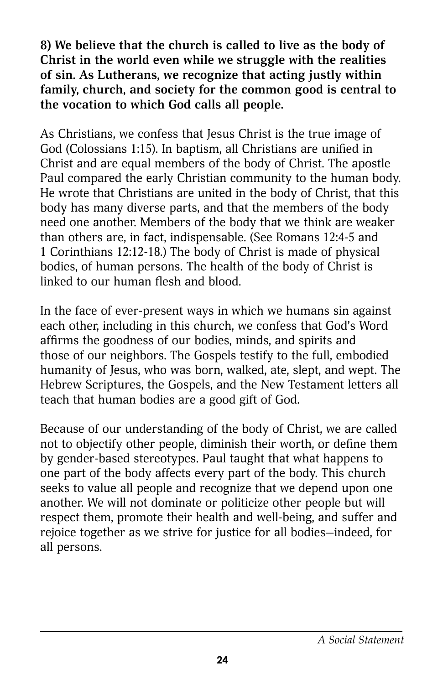**8) We believe that the church is called to live as the body of Christ in the world even while we struggle with the realities of sin. As Lutherans, we recognize that acting justly within family, church, and society for the common good is central to the vocation to which God calls all people.**

As Christians, we confess that Jesus Christ is the true image of God (Colossians 1:15). In baptism, all Christians are unified in Christ and are equal members of the body of Christ. The apostle Paul compared the early Christian community to the human body. He wrote that Christians are united in the body of Christ, that this body has many diverse parts, and that the members of the body need one another. Members of the body that we think are weaker than others are, in fact, indispensable. (See Romans 12:4-5 and 1 Corinthians 12:12-18.) The body of Christ is made of physical bodies, of human persons. The health of the body of Christ is linked to our human flesh and blood.

In the face of ever-present ways in which we humans sin against each other, including in this church, we confess that God's Word affirms the goodness of our bodies, minds, and spirits and those of our neighbors. The Gospels testify to the full, embodied humanity of Jesus, who was born, walked, ate, slept, and wept. The Hebrew Scriptures, the Gospels, and the New Testament letters all teach that human bodies are a good gift of God.

Because of our understanding of the body of Christ, we are called not to objectify other people, diminish their worth, or define them by gender-based stereotypes. Paul taught that what happens to one part of the body affects every part of the body. This church seeks to value all people and recognize that we depend upon one another. We will not dominate or politicize other people but will respect them, promote their health and well-being, and suffer and rejoice together as we strive for justice for all bodies—indeed, for all persons.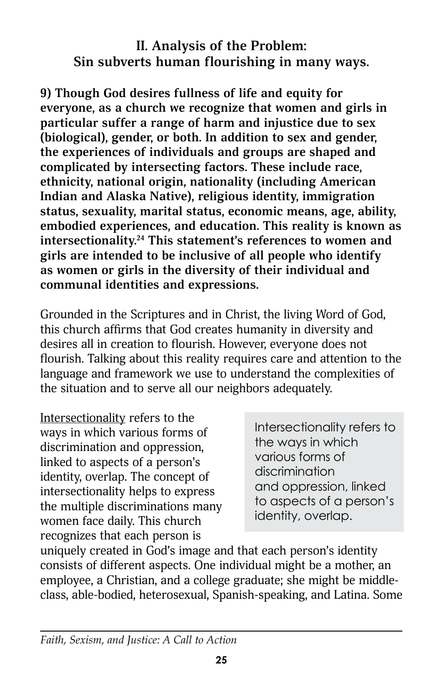### **II. Analysis of the Problem: Sin subverts human flourishing in many ways.**

**9) Though God desires fullness of life and equity for everyone, as a church we recognize that women and girls in particular suffer a range of harm and injustice due to sex (biological), gender, or both. In addition to sex and gender, the experiences of individuals and groups are shaped and complicated by intersecting factors. These include race, ethnicity, national origin, nationality (including American Indian and Alaska Native), religious identity, immigration status, sexuality, marital status, economic means, age, ability, embodied experiences, and education. This reality is known as intersectionality.24 This statement's references to women and girls are intended to be inclusive of all people who identify as women or girls in the diversity of their individual and communal identities and expressions.**

Grounded in the Scriptures and in Christ, the living Word of God, this church affirms that God creates humanity in diversity and desires all in creation to flourish. However, everyone does not flourish. Talking about this reality requires care and attention to the language and framework we use to understand the complexities of the situation and to serve all our neighbors adequately.

Intersectionality refers to the ways in which various forms of discrimination and oppression, linked to aspects of a person's identity, overlap. The concept of intersectionality helps to express the multiple discriminations many women face daily. This church recognizes that each person is

Intersectionality refers to the ways in which various forms of discrimination and oppression, linked to aspects of a person's identity, overlap.

uniquely created in God's image and that each person's identity consists of different aspects. One individual might be a mother, an employee, a Christian, and a college graduate; she might be middleclass, able-bodied, heterosexual, Spanish-speaking, and Latina. Some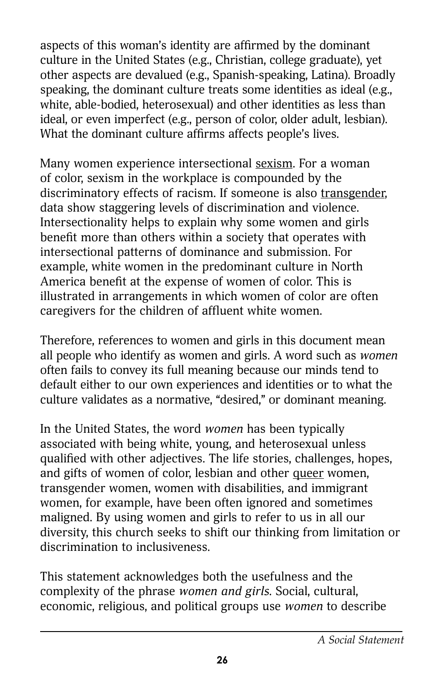aspects of this woman's identity are affirmed by the dominant culture in the United States (e.g., Christian, college graduate), yet other aspects are devalued (e.g., Spanish-speaking, Latina). Broadly speaking, the dominant culture treats some identities as ideal (e.g., white, able-bodied, heterosexual) and other identities as less than ideal, or even imperfect (e.g., person of color, older adult, lesbian). What the dominant culture affirms affects people's lives.

Many women experience intersectional sexism. For a woman of color, sexism in the workplace is compounded by the discriminatory effects of racism. If someone is also transgender, data show staggering levels of discrimination and violence. Intersectionality helps to explain why some women and girls benefit more than others within a society that operates with intersectional patterns of dominance and submission. For example, white women in the predominant culture in North America benefit at the expense of women of color. This is illustrated in arrangements in which women of color are often caregivers for the children of affluent white women.

Therefore, references to women and girls in this document mean all people who identify as women and girls. A word such as *women* often fails to convey its full meaning because our minds tend to default either to our own experiences and identities or to what the culture validates as a normative, "desired," or dominant meaning.

In the United States, the word *women* has been typically associated with being white, young, and heterosexual unless qualified with other adjectives. The life stories, challenges, hopes, and gifts of women of color, lesbian and other queer women, transgender women, women with disabilities, and immigrant women, for example, have been often ignored and sometimes maligned. By using women and girls to refer to us in all our diversity, this church seeks to shift our thinking from limitation or discrimination to inclusiveness.

This statement acknowledges both the usefulness and the complexity of the phrase *women and girls*. Social, cultural, economic, religious, and political groups use *women* to describe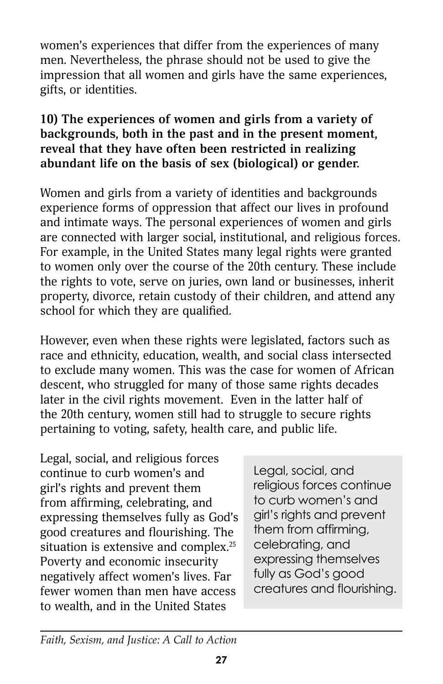women's experiences that differ from the experiences of many men. Nevertheless, the phrase should not be used to give the impression that all women and girls have the same experiences, gifts, or identities.

#### **10) The experiences of women and girls from a variety of backgrounds, both in the past and in the present moment, reveal that they have often been restricted in realizing abundant life on the basis of sex (biological) or gender.**

Women and girls from a variety of identities and backgrounds experience forms of oppression that affect our lives in profound and intimate ways. The personal experiences of women and girls are connected with larger social, institutional, and religious forces. For example, in the United States many legal rights were granted to women only over the course of the 20th century. These include the rights to vote, serve on juries, own land or businesses, inherit property, divorce, retain custody of their children, and attend any school for which they are qualified.

However, even when these rights were legislated, factors such as race and ethnicity, education, wealth, and social class intersected to exclude many women. This was the case for women of African descent, who struggled for many of those same rights decades later in the civil rights movement. Even in the latter half of the 20th century, women still had to struggle to secure rights pertaining to voting, safety, health care, and public life.

Legal, social, and religious forces continue to curb women's and girl's rights and prevent them from affirming, celebrating, and expressing themselves fully as God's good creatures and flourishing. The situation is extensive and complex.<sup>25</sup> Poverty and economic insecurity negatively affect women's lives. Far fewer women than men have access to wealth, and in the United States

Legal, social, and religious forces continue to curb women's and girl's rights and prevent them from affirming, celebrating, and expressing themselves fully as God's good creatures and flourishing.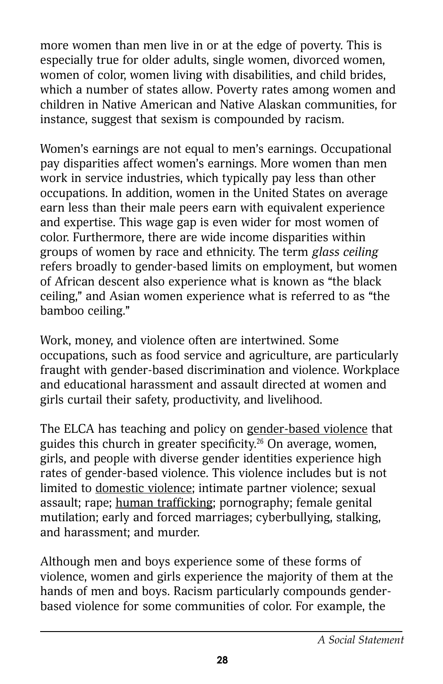more women than men live in or at the edge of poverty. This is especially true for older adults, single women, divorced women, women of color, women living with disabilities, and child brides, which a number of states allow. Poverty rates among women and children in Native American and Native Alaskan communities, for instance, suggest that sexism is compounded by racism.

Women's earnings are not equal to men's earnings. Occupational pay disparities affect women's earnings. More women than men work in service industries, which typically pay less than other occupations. In addition, women in the United States on average earn less than their male peers earn with equivalent experience and expertise. This wage gap is even wider for most women of color. Furthermore, there are wide income disparities within groups of women by race and ethnicity. The term *glass ceiling* refers broadly to gender-based limits on employment, but women of African descent also experience what is known as "the black ceiling," and Asian women experience what is referred to as "the bamboo ceiling."

Work, money, and violence often are intertwined. Some occupations, such as food service and agriculture, are particularly fraught with gender-based discrimination and violence. Workplace and educational harassment and assault directed at women and girls curtail their safety, productivity, and livelihood.

The ELCA has teaching and policy on gender-based violence that guides this church in greater specificity.26 On average, women, girls, and people with diverse gender identities experience high rates of gender-based violence. This violence includes but is not limited to domestic violence; intimate partner violence; sexual assault; rape; human trafficking; pornography; female genital mutilation; early and forced marriages; cyberbullying, stalking, and harassment; and murder.

Although men and boys experience some of these forms of violence, women and girls experience the majority of them at the hands of men and boys. Racism particularly compounds genderbased violence for some communities of color. For example, the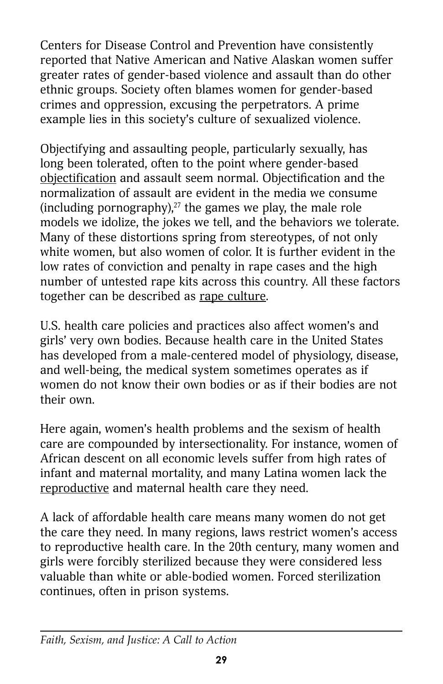Centers for Disease Control and Prevention have consistently reported that Native American and Native Alaskan women suffer greater rates of gender-based violence and assault than do other ethnic groups. Society often blames women for gender-based crimes and oppression, excusing the perpetrators. A prime example lies in this society's culture of sexualized violence.

Objectifying and assaulting people, particularly sexually, has long been tolerated, often to the point where gender-based objectification and assault seem normal. Objectification and the normalization of assault are evident in the media we consume (including pornography), $27$  the games we play, the male role models we idolize, the jokes we tell, and the behaviors we tolerate. Many of these distortions spring from stereotypes, of not only white women, but also women of color. It is further evident in the low rates of conviction and penalty in rape cases and the high number of untested rape kits across this country. All these factors together can be described as rape culture.

U.S. health care policies and practices also affect women's and girls' very own bodies. Because health care in the United States has developed from a male-centered model of physiology, disease, and well-being, the medical system sometimes operates as if women do not know their own bodies or as if their bodies are not their own.

Here again, women's health problems and the sexism of health care are compounded by intersectionality. For instance, women of African descent on all economic levels suffer from high rates of infant and maternal mortality, and many Latina women lack the reproductive and maternal health care they need.

A lack of affordable health care means many women do not get the care they need. In many regions, laws restrict women's access to reproductive health care. In the 20th century, many women and girls were forcibly sterilized because they were considered less valuable than white or able-bodied women. Forced sterilization continues, often in prison systems.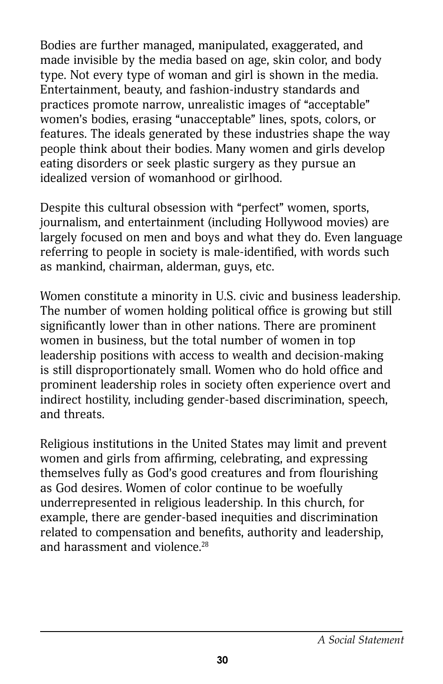Bodies are further managed, manipulated, exaggerated, and made invisible by the media based on age, skin color, and body type. Not every type of woman and girl is shown in the media. Entertainment, beauty, and fashion-industry standards and practices promote narrow, unrealistic images of "acceptable" women's bodies, erasing "unacceptable" lines, spots, colors, or features. The ideals generated by these industries shape the way people think about their bodies. Many women and girls develop eating disorders or seek plastic surgery as they pursue an idealized version of womanhood or girlhood.

Despite this cultural obsession with "perfect" women, sports, journalism, and entertainment (including Hollywood movies) are largely focused on men and boys and what they do. Even language referring to people in society is male-identified, with words such as mankind, chairman, alderman, guys, etc.

Women constitute a minority in U.S. civic and business leadership. The number of women holding political office is growing but still significantly lower than in other nations. There are prominent women in business, but the total number of women in top leadership positions with access to wealth and decision-making is still disproportionately small. Women who do hold office and prominent leadership roles in society often experience overt and indirect hostility, including gender-based discrimination, speech, and threats.

Religious institutions in the United States may limit and prevent women and girls from affirming, celebrating, and expressing themselves fully as God's good creatures and from flourishing as God desires. Women of color continue to be woefully underrepresented in religious leadership. In this church, for example, there are gender-based inequities and discrimination related to compensation and benefits, authority and leadership, and harassment and violence.<sup>28</sup>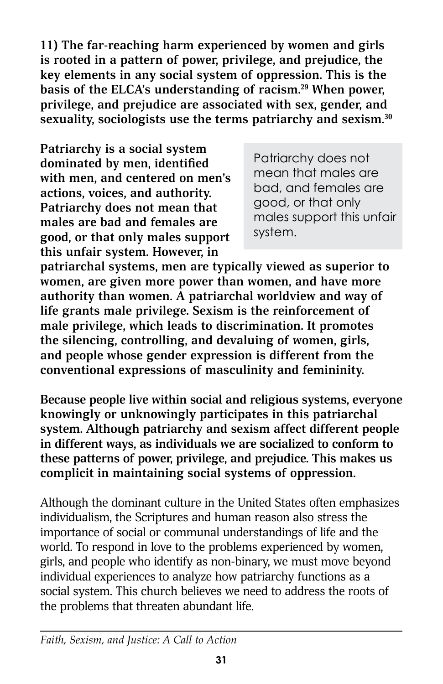**11) The far-reaching harm experienced by women and girls is rooted in a pattern of power, privilege, and prejudice, the key elements in any social system of oppression. This is the basis of the ELCA's understanding of racism.29 When power, privilege, and prejudice are associated with sex, gender, and sexuality, sociologists use the terms patriarchy and sexism.30**

**Patriarchy is a social system dominated by men, identified with men, and centered on men's actions, voices, and authority. Patriarchy does not mean that males are bad and females are good, or that only males support this unfair system. However, in** 

Patriarchy does not mean that males are bad, and females are good, or that only males support this unfair system.

**patriarchal systems, men are typically viewed as superior to women, are given more power than women, and have more authority than women. A patriarchal worldview and way of life grants male privilege. Sexism is the reinforcement of male privilege, which leads to discrimination. It promotes the silencing, controlling, and devaluing of women, girls, and people whose gender expression is different from the conventional expressions of masculinity and femininity.**

**Because people live within social and religious systems, everyone knowingly or unknowingly participates in this patriarchal system. Although patriarchy and sexism affect different people in different ways, as individuals we are socialized to conform to these patterns of power, privilege, and prejudice. This makes us complicit in maintaining social systems of oppression.** 

Although the dominant culture in the United States often emphasizes individualism, the Scriptures and human reason also stress the importance of social or communal understandings of life and the world. To respond in love to the problems experienced by women, girls, and people who identify as non-binary, we must move beyond individual experiences to analyze how patriarchy functions as a social system. This church believes we need to address the roots of the problems that threaten abundant life.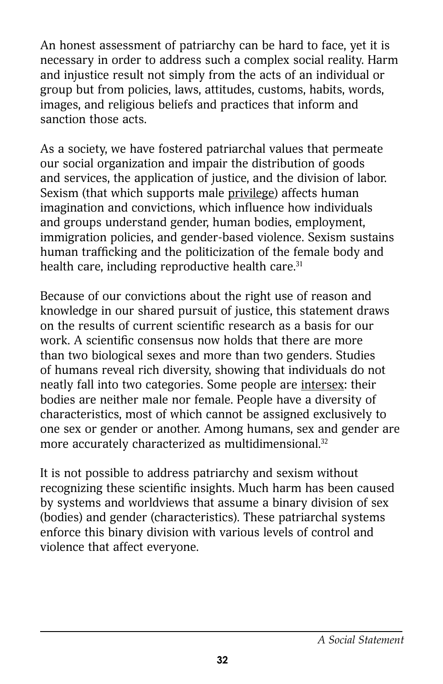An honest assessment of patriarchy can be hard to face, yet it is necessary in order to address such a complex social reality. Harm and injustice result not simply from the acts of an individual or group but from policies, laws, attitudes, customs, habits, words, images, and religious beliefs and practices that inform and sanction those acts.

As a society, we have fostered patriarchal values that permeate our social organization and impair the distribution of goods and services, the application of justice, and the division of labor. Sexism (that which supports male privilege) affects human imagination and convictions, which influence how individuals and groups understand gender, human bodies, employment, immigration policies, and gender-based violence. Sexism sustains human trafficking and the politicization of the female body and health care, including reproductive health care. $31$ 

Because of our convictions about the right use of reason and knowledge in our shared pursuit of justice, this statement draws on the results of current scientific research as a basis for our work. A scientific consensus now holds that there are more than two biological sexes and more than two genders. Studies of humans reveal rich diversity, showing that individuals do not neatly fall into two categories. Some people are intersex: their bodies are neither male nor female. People have a diversity of characteristics, most of which cannot be assigned exclusively to one sex or gender or another. Among humans, sex and gender are more accurately characterized as multidimensional.<sup>32</sup>

It is not possible to address patriarchy and sexism without recognizing these scientific insights. Much harm has been caused by systems and worldviews that assume a binary division of sex (bodies) and gender (characteristics). These patriarchal systems enforce this binary division with various levels of control and violence that affect everyone.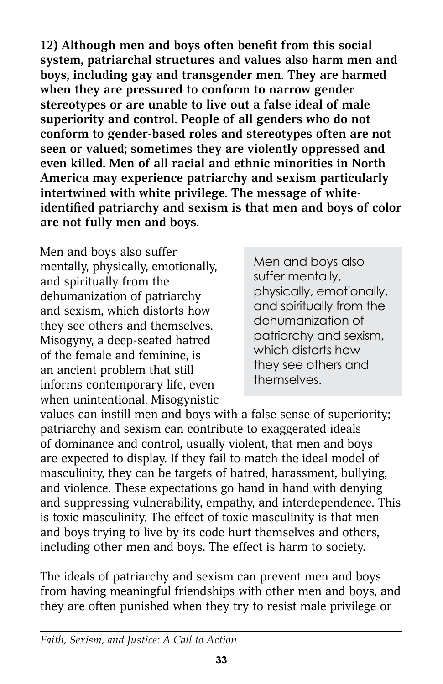**12) Although men and boys often benefit from this social system, patriarchal structures and values also harm men and boys, including gay and transgender men. They are harmed when they are pressured to conform to narrow gender stereotypes or are unable to live out a false ideal of male superiority and control. People of all genders who do not conform to gender-based roles and stereotypes often are not seen or valued; sometimes they are violently oppressed and even killed. Men of all racial and ethnic minorities in North America may experience patriarchy and sexism particularly intertwined with white privilege. The message of whiteidentified patriarchy and sexism is that men and boys of color are not fully men and boys.**

Men and boys also suffer mentally, physically, emotionally, and spiritually from the dehumanization of patriarchy and sexism, which distorts how they see others and themselves. Misogyny, a deep-seated hatred of the female and feminine, is an ancient problem that still informs contemporary life, even when unintentional. Misogynistic

Men and boys also suffer mentally, physically, emotionally, and spiritually from the dehumanization of patriarchy and sexism, which distorts how they see others and themselves.

values can instill men and boys with a false sense of superiority; patriarchy and sexism can contribute to exaggerated ideals of dominance and control, usually violent, that men and boys are expected to display. If they fail to match the ideal model of masculinity, they can be targets of hatred, harassment, bullying, and violence. These expectations go hand in hand with denying and suppressing vulnerability, empathy, and interdependence. This is toxic masculinity. The effect of toxic masculinity is that men and boys trying to live by its code hurt themselves and others, including other men and boys. The effect is harm to society.

The ideals of patriarchy and sexism can prevent men and boys from having meaningful friendships with other men and boys, and they are often punished when they try to resist male privilege or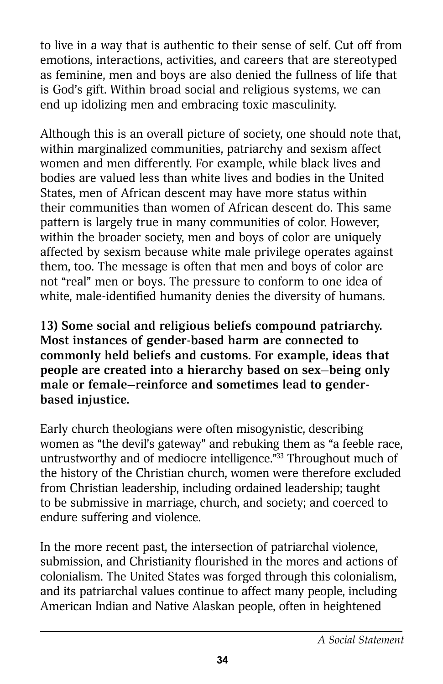to live in a way that is authentic to their sense of self. Cut off from emotions, interactions, activities, and careers that are stereotyped as feminine, men and boys are also denied the fullness of life that is God's gift. Within broad social and religious systems, we can end up idolizing men and embracing toxic masculinity.

Although this is an overall picture of society, one should note that, within marginalized communities, patriarchy and sexism affect women and men differently. For example, while black lives and bodies are valued less than white lives and bodies in the United States, men of African descent may have more status within their communities than women of African descent do. This same pattern is largely true in many communities of color. However, within the broader society, men and boys of color are uniquely affected by sexism because white male privilege operates against them, too. The message is often that men and boys of color are not "real" men or boys. The pressure to conform to one idea of white, male-identified humanity denies the diversity of humans.

**13) Some social and religious beliefs compound patriarchy. Most instances of gender-based harm are connected to commonly held beliefs and customs. For example, ideas that people are created into a hierarchy based on sex—being only male or female—reinforce and sometimes lead to genderbased injustice.**

Early church theologians were often misogynistic, describing women as "the devil's gateway" and rebuking them as "a feeble race, untrustworthy and of mediocre intelligence."33 Throughout much of the history of the Christian church, women were therefore excluded from Christian leadership, including ordained leadership; taught to be submissive in marriage, church, and society; and coerced to endure suffering and violence.

In the more recent past, the intersection of patriarchal violence, submission, and Christianity flourished in the mores and actions of colonialism. The United States was forged through this colonialism, and its patriarchal values continue to affect many people, including American Indian and Native Alaskan people, often in heightened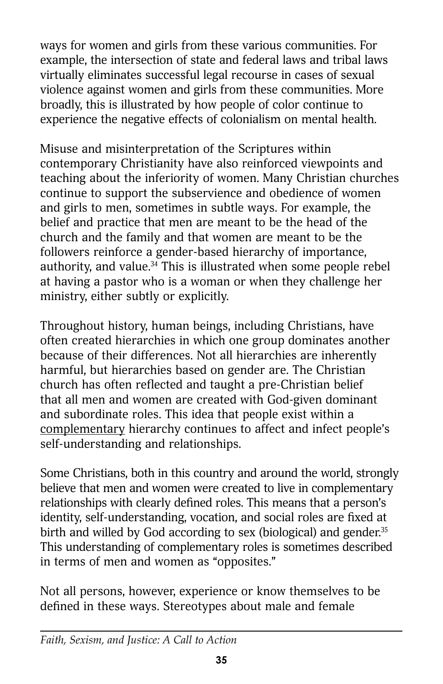ways for women and girls from these various communities. For example, the intersection of state and federal laws and tribal laws virtually eliminates successful legal recourse in cases of sexual violence against women and girls from these communities. More broadly, this is illustrated by how people of color continue to experience the negative effects of colonialism on mental health.

Misuse and misinterpretation of the Scriptures within contemporary Christianity have also reinforced viewpoints and teaching about the inferiority of women. Many Christian churches continue to support the subservience and obedience of women and girls to men, sometimes in subtle ways. For example, the belief and practice that men are meant to be the head of the church and the family and that women are meant to be the followers reinforce a gender-based hierarchy of importance, authority, and value.<sup>34</sup> This is illustrated when some people rebel at having a pastor who is a woman or when they challenge her ministry, either subtly or explicitly.

Throughout history, human beings, including Christians, have often created hierarchies in which one group dominates another because of their differences. Not all hierarchies are inherently harmful, but hierarchies based on gender are. The Christian church has often reflected and taught a pre-Christian belief that all men and women are created with God-given dominant and subordinate roles. This idea that people exist within a complementary hierarchy continues to affect and infect people's self-understanding and relationships.

Some Christians, both in this country and around the world, strongly believe that men and women were created to live in complementary relationships with clearly defined roles. This means that a person's identity, self-understanding, vocation, and social roles are fixed at birth and willed by God according to sex (biological) and gender.<sup>35</sup> This understanding of complementary roles is sometimes described in terms of men and women as "opposites."

Not all persons, however, experience or know themselves to be defined in these ways. Stereotypes about male and female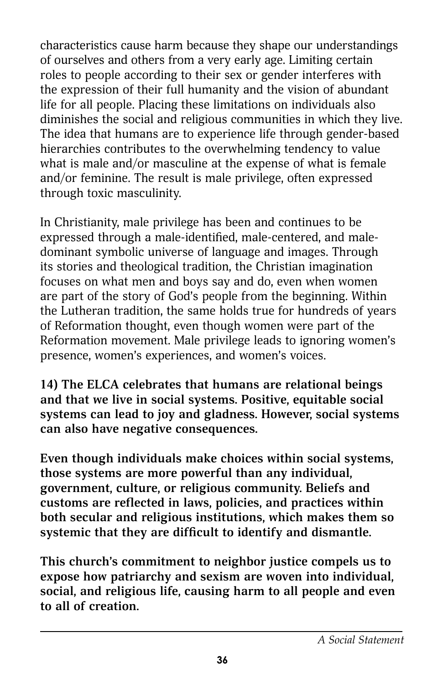characteristics cause harm because they shape our understandings of ourselves and others from a very early age. Limiting certain roles to people according to their sex or gender interferes with the expression of their full humanity and the vision of abundant life for all people. Placing these limitations on individuals also diminishes the social and religious communities in which they live. The idea that humans are to experience life through gender-based hierarchies contributes to the overwhelming tendency to value what is male and/or masculine at the expense of what is female and/or feminine. The result is male privilege, often expressed through toxic masculinity.

In Christianity, male privilege has been and continues to be expressed through a male-identified, male-centered, and maledominant symbolic universe of language and images. Through its stories and theological tradition, the Christian imagination focuses on what men and boys say and do, even when women are part of the story of God's people from the beginning. Within the Lutheran tradition, the same holds true for hundreds of years of Reformation thought, even though women were part of the Reformation movement. Male privilege leads to ignoring women's presence, women's experiences, and women's voices.

**14) The ELCA celebrates that humans are relational beings and that we live in social systems. Positive, equitable social systems can lead to joy and gladness. However, social systems can also have negative consequences.**

**Even though individuals make choices within social systems, those systems are more powerful than any individual, government, culture, or religious community. Beliefs and customs are reflected in laws, policies, and practices within both secular and religious institutions, which makes them so systemic that they are difficult to identify and dismantle.**

**This church's commitment to neighbor justice compels us to expose how patriarchy and sexism are woven into individual, social, and religious life, causing harm to all people and even to all of creation.**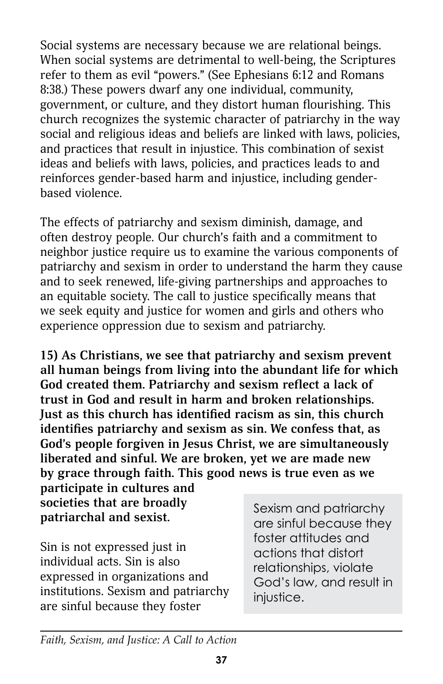Social systems are necessary because we are relational beings. When social systems are detrimental to well-being, the Scriptures refer to them as evil "powers." (See Ephesians 6:12 and Romans 8:38.) These powers dwarf any one individual, community, government, or culture, and they distort human flourishing. This church recognizes the systemic character of patriarchy in the way social and religious ideas and beliefs are linked with laws, policies, and practices that result in injustice. This combination of sexist ideas and beliefs with laws, policies, and practices leads to and reinforces gender-based harm and injustice, including genderbased violence.

The effects of patriarchy and sexism diminish, damage, and often destroy people. Our church's faith and a commitment to neighbor justice require us to examine the various components of patriarchy and sexism in order to understand the harm they cause and to seek renewed, life-giving partnerships and approaches to an equitable society. The call to justice specifically means that we seek equity and justice for women and girls and others who experience oppression due to sexism and patriarchy.

**15) As Christians, we see that patriarchy and sexism prevent all human beings from living into the abundant life for which God created them. Patriarchy and sexism reflect a lack of trust in God and result in harm and broken relationships. Just as this church has identified racism as sin, this church identifies patriarchy and sexism as sin. We confess that, as God's people forgiven in Jesus Christ, we are simultaneously liberated and sinful. We are broken, yet we are made new by grace through faith. This good news is true even as we** 

**participate in cultures and societies that are broadly patriarchal and sexist.**

Sin is not expressed just in individual acts. Sin is also expressed in organizations and institutions. Sexism and patriarchy are sinful because they foster

Sexism and patriarchy are sinful because they foster attitudes and actions that distort relationships, violate God's law, and result in injustice.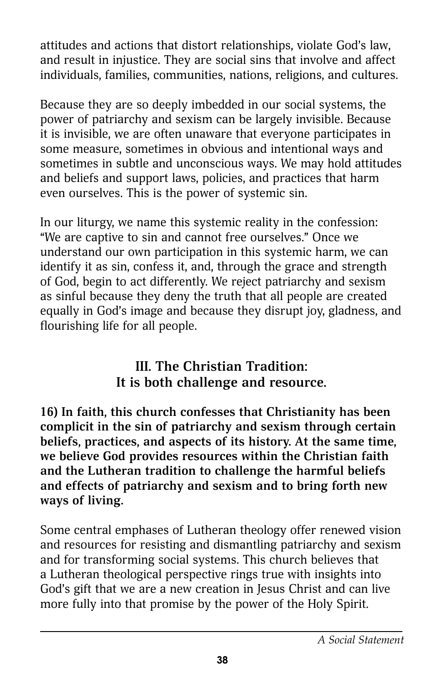attitudes and actions that distort relationships, violate God's law, and result in injustice. They are social sins that involve and affect individuals, families, communities, nations, religions, and cultures.

Because they are so deeply imbedded in our social systems, the power of patriarchy and sexism can be largely invisible. Because it is invisible, we are often unaware that everyone participates in some measure, sometimes in obvious and intentional ways and sometimes in subtle and unconscious ways. We may hold attitudes and beliefs and support laws, policies, and practices that harm even ourselves. This is the power of systemic sin.

In our liturgy, we name this systemic reality in the confession: "We are captive to sin and cannot free ourselves." Once we understand our own participation in this systemic harm, we can identify it as sin, confess it, and, through the grace and strength of God, begin to act differently. We reject patriarchy and sexism as sinful because they deny the truth that all people are created equally in God's image and because they disrupt joy, gladness, and flourishing life for all people.

### **III. The Christian Tradition: It is both challenge and resource.**

**16) In faith, this church confesses that Christianity has been complicit in the sin of patriarchy and sexism through certain beliefs, practices, and aspects of its history. At the same time, we believe God provides resources within the Christian faith and the Lutheran tradition to challenge the harmful beliefs and effects of patriarchy and sexism and to bring forth new ways of living.**

Some central emphases of Lutheran theology offer renewed vision and resources for resisting and dismantling patriarchy and sexism and for transforming social systems. This church believes that a Lutheran theological perspective rings true with insights into God's gift that we are a new creation in Jesus Christ and can live more fully into that promise by the power of the Holy Spirit.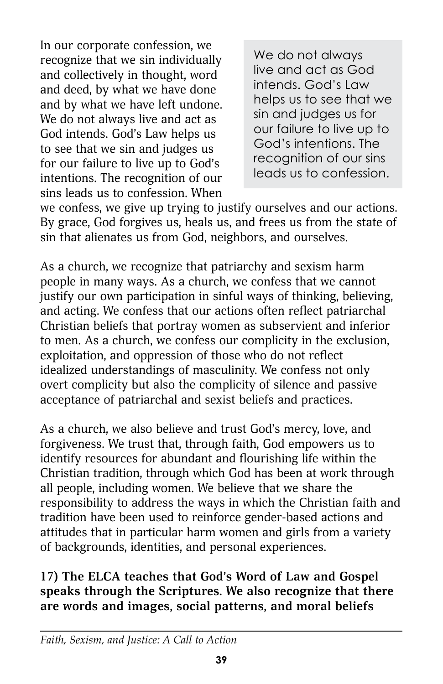In our corporate confession, we recognize that we sin individually and collectively in thought, word and deed, by what we have done and by what we have left undone. We do not always live and act as God intends. God's Law helps us to see that we sin and judges us for our failure to live up to God's intentions. The recognition of our sins leads us to confession. When

We do not always live and act as God intends. God's Law helps us to see that we sin and judges us for our failure to live up to God's intentions. The recognition of our sins leads us to confession.

we confess, we give up trying to justify ourselves and our actions. By grace, God forgives us, heals us, and frees us from the state of sin that alienates us from God, neighbors, and ourselves.

As a church, we recognize that patriarchy and sexism harm people in many ways. As a church, we confess that we cannot justify our own participation in sinful ways of thinking, believing, and acting. We confess that our actions often reflect patriarchal Christian beliefs that portray women as subservient and inferior to men. As a church, we confess our complicity in the exclusion, exploitation, and oppression of those who do not reflect idealized understandings of masculinity. We confess not only overt complicity but also the complicity of silence and passive acceptance of patriarchal and sexist beliefs and practices.

As a church, we also believe and trust God's mercy, love, and forgiveness. We trust that, through faith, God empowers us to identify resources for abundant and flourishing life within the Christian tradition, through which God has been at work through all people, including women. We believe that we share the responsibility to address the ways in which the Christian faith and tradition have been used to reinforce gender-based actions and attitudes that in particular harm women and girls from a variety of backgrounds, identities, and personal experiences.

### **17) The ELCA teaches that God's Word of Law and Gospel speaks through the Scriptures. We also recognize that there are words and images, social patterns, and moral beliefs**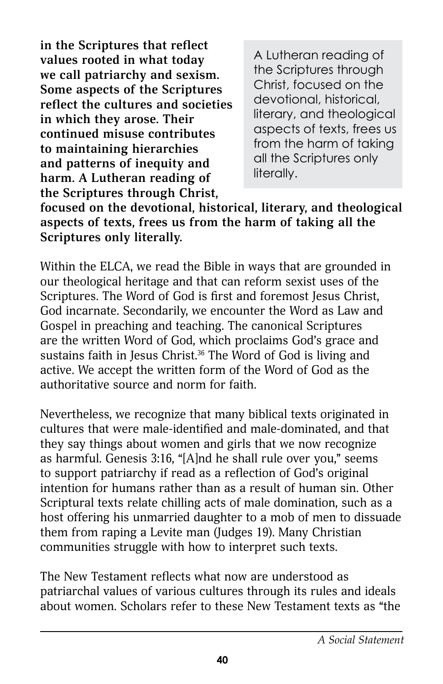**in the Scriptures that reflect values rooted in what today we call patriarchy and sexism. Some aspects of the Scriptures reflect the cultures and societies in which they arose. Their continued misuse contributes to maintaining hierarchies and patterns of inequity and harm. A Lutheran reading of the Scriptures through Christ,** 

A Lutheran reading of the Scriptures through Christ, focused on the devotional, historical, literary, and theological aspects of texts, frees us from the harm of taking all the Scriptures only literally.

**focused on the devotional, historical, literary, and theological aspects of texts, frees us from the harm of taking all the Scriptures only literally.**

Within the ELCA, we read the Bible in ways that are grounded in our theological heritage and that can reform sexist uses of the Scriptures. The Word of God is first and foremost Jesus Christ, God incarnate. Secondarily, we encounter the Word as Law and Gospel in preaching and teaching. The canonical Scriptures are the written Word of God, which proclaims God's grace and sustains faith in Jesus Christ.<sup>36</sup> The Word of God is living and active. We accept the written form of the Word of God as the authoritative source and norm for faith.

Nevertheless, we recognize that many biblical texts originated in cultures that were male-identified and male-dominated, and that they say things about women and girls that we now recognize as harmful. Genesis 3:16, "[A]nd he shall rule over you," seems to support patriarchy if read as a reflection of God's original intention for humans rather than as a result of human sin. Other Scriptural texts relate chilling acts of male domination, such as a host offering his unmarried daughter to a mob of men to dissuade them from raping a Levite man (Judges 19). Many Christian communities struggle with how to interpret such texts.

The New Testament reflects what now are understood as patriarchal values of various cultures through its rules and ideals about women. Scholars refer to these New Testament texts as "the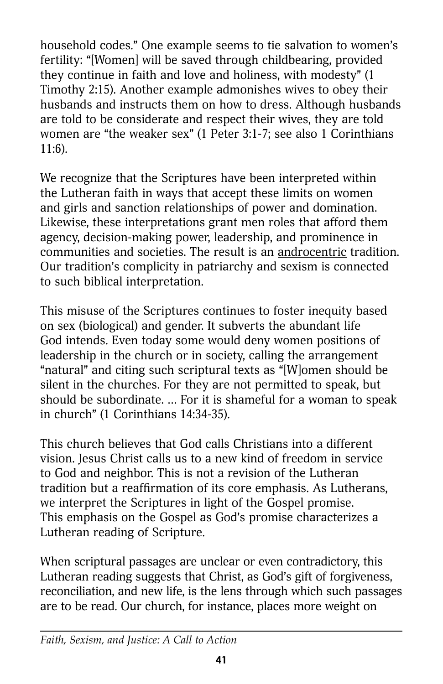household codes." One example seems to tie salvation to women's fertility: "[Women] will be saved through childbearing, provided they continue in faith and love and holiness, with modesty" (1 Timothy 2:15). Another example admonishes wives to obey their husbands and instructs them on how to dress. Although husbands are told to be considerate and respect their wives, they are told women are "the weaker sex" (1 Peter 3:1-7; see also 1 Corinthians 11:6).

We recognize that the Scriptures have been interpreted within the Lutheran faith in ways that accept these limits on women and girls and sanction relationships of power and domination. Likewise, these interpretations grant men roles that afford them agency, decision-making power, leadership, and prominence in communities and societies. The result is an androcentric tradition. Our tradition's complicity in patriarchy and sexism is connected to such biblical interpretation.

This misuse of the Scriptures continues to foster inequity based on sex (biological) and gender. It subverts the abundant life God intends. Even today some would deny women positions of leadership in the church or in society, calling the arrangement "natural" and citing such scriptural texts as "[W]omen should be silent in the churches. For they are not permitted to speak, but should be subordinate. … For it is shameful for a woman to speak in church" (1 Corinthians 14:34-35).

This church believes that God calls Christians into a different vision. Jesus Christ calls us to a new kind of freedom in service to God and neighbor. This is not a revision of the Lutheran tradition but a reaffirmation of its core emphasis. As Lutherans, we interpret the Scriptures in light of the Gospel promise. This emphasis on the Gospel as God's promise characterizes a Lutheran reading of Scripture.

When scriptural passages are unclear or even contradictory, this Lutheran reading suggests that Christ, as God's gift of forgiveness, reconciliation, and new life, is the lens through which such passages are to be read. Our church, for instance, places more weight on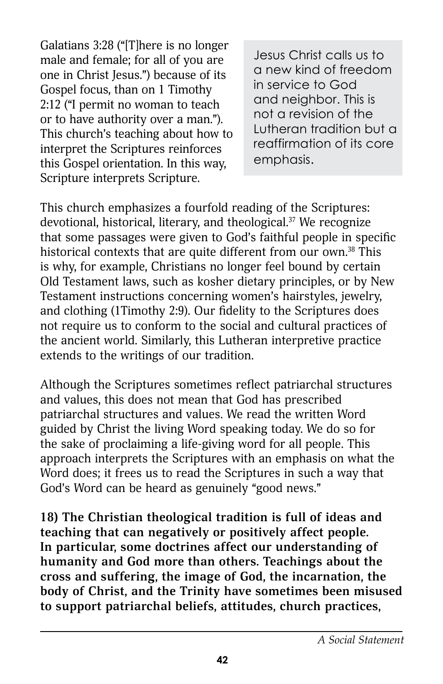Galatians 3:28 ("[T]here is no longer male and female; for all of you are one in Christ Jesus.") because of its Gospel focus, than on 1 Timothy 2:12 ("I permit no woman to teach or to have authority over a man."). This church's teaching about how to interpret the Scriptures reinforces this Gospel orientation. In this way, Scripture interprets Scripture.

Jesus Christ calls us to a new kind of freedom in service to God and neighbor. This is not a revision of the Lutheran tradition but a reaffirmation of its core emphasis.

This church emphasizes a fourfold reading of the Scriptures: devotional, historical, literary, and theological. $37$  We recognize that some passages were given to God's faithful people in specific historical contexts that are quite different from our own.<sup>38</sup> This is why, for example, Christians no longer feel bound by certain Old Testament laws, such as kosher dietary principles, or by New Testament instructions concerning women's hairstyles, jewelry, and clothing (1Timothy 2:9). Our fidelity to the Scriptures does not require us to conform to the social and cultural practices of the ancient world. Similarly, this Lutheran interpretive practice extends to the writings of our tradition.

Although the Scriptures sometimes reflect patriarchal structures and values, this does not mean that God has prescribed patriarchal structures and values. We read the written Word guided by Christ the living Word speaking today. We do so for the sake of proclaiming a life-giving word for all people. This approach interprets the Scriptures with an emphasis on what the Word does; it frees us to read the Scriptures in such a way that God's Word can be heard as genuinely "good news."

**18) The Christian theological tradition is full of ideas and teaching that can negatively or positively affect people. In particular, some doctrines affect our understanding of humanity and God more than others. Teachings about the cross and suffering, the image of God, the incarnation, the body of Christ, and the Trinity have sometimes been misused to support patriarchal beliefs, attitudes, church practices,**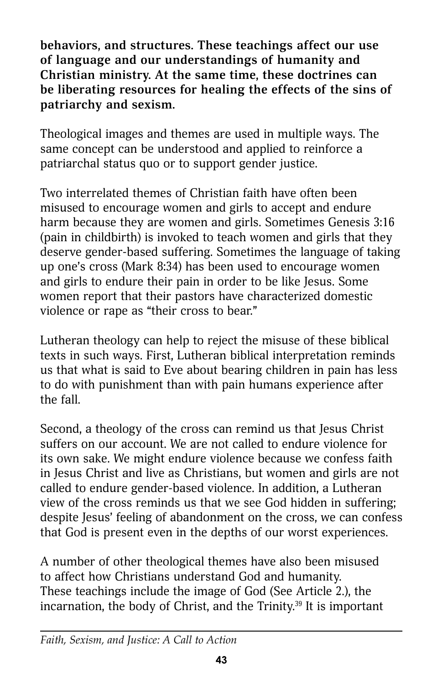**behaviors, and structures. These teachings affect our use of language and our understandings of humanity and Christian ministry. At the same time, these doctrines can be liberating resources for healing the effects of the sins of patriarchy and sexism.**

Theological images and themes are used in multiple ways. The same concept can be understood and applied to reinforce a patriarchal status quo or to support gender justice.

Two interrelated themes of Christian faith have often been misused to encourage women and girls to accept and endure harm because they are women and girls. Sometimes Genesis 3:16 (pain in childbirth) is invoked to teach women and girls that they deserve gender-based suffering. Sometimes the language of taking up one's cross (Mark 8:34) has been used to encourage women and girls to endure their pain in order to be like Jesus. Some women report that their pastors have characterized domestic violence or rape as "their cross to bear."

Lutheran theology can help to reject the misuse of these biblical texts in such ways. First, Lutheran biblical interpretation reminds us that what is said to Eve about bearing children in pain has less to do with punishment than with pain humans experience after the fall.

Second, a theology of the cross can remind us that Jesus Christ suffers on our account. We are not called to endure violence for its own sake. We might endure violence because we confess faith in Jesus Christ and live as Christians, but women and girls are not called to endure gender-based violence. In addition, a Lutheran view of the cross reminds us that we see God hidden in suffering; despite Jesus' feeling of abandonment on the cross, we can confess that God is present even in the depths of our worst experiences.

A number of other theological themes have also been misused to affect how Christians understand God and humanity. These teachings include the image of God (See Article 2.), the incarnation, the body of Christ, and the Trinity. $39$  It is important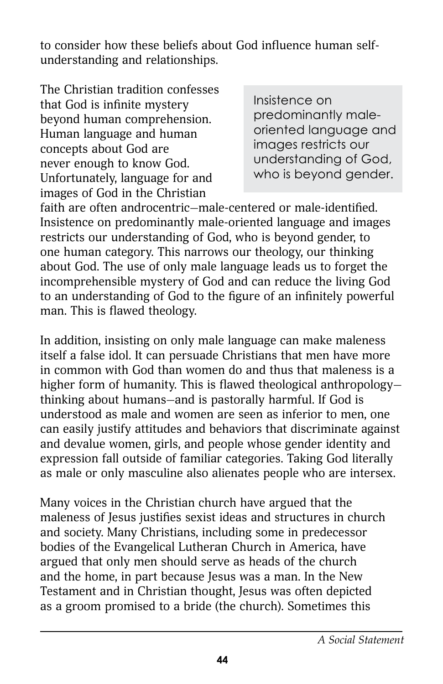to consider how these beliefs about God influence human selfunderstanding and relationships.

The Christian tradition confesses that God is infinite mystery beyond human comprehension. Human language and human concepts about God are never enough to know God. Unfortunately, language for and images of God in the Christian

Insistence on predominantly maleoriented language and images restricts our understanding of God, who is beyond gender.

faith are often androcentric—male-centered or male-identified. Insistence on predominantly male-oriented language and images restricts our understanding of God, who is beyond gender, to one human category. This narrows our theology, our thinking about God. The use of only male language leads us to forget the incomprehensible mystery of God and can reduce the living God to an understanding of God to the figure of an infinitely powerful man. This is flawed theology.

In addition, insisting on only male language can make maleness itself a false idol. It can persuade Christians that men have more in common with God than women do and thus that maleness is a higher form of humanity. This is flawed theological anthropologythinking about humans—and is pastorally harmful. If God is understood as male and women are seen as inferior to men, one can easily justify attitudes and behaviors that discriminate against and devalue women, girls, and people whose gender identity and expression fall outside of familiar categories. Taking God literally as male or only masculine also alienates people who are intersex.

Many voices in the Christian church have argued that the maleness of Jesus justifies sexist ideas and structures in church and society. Many Christians, including some in predecessor bodies of the Evangelical Lutheran Church in America, have argued that only men should serve as heads of the church and the home, in part because Jesus was a man. In the New Testament and in Christian thought, Jesus was often depicted as a groom promised to a bride (the church). Sometimes this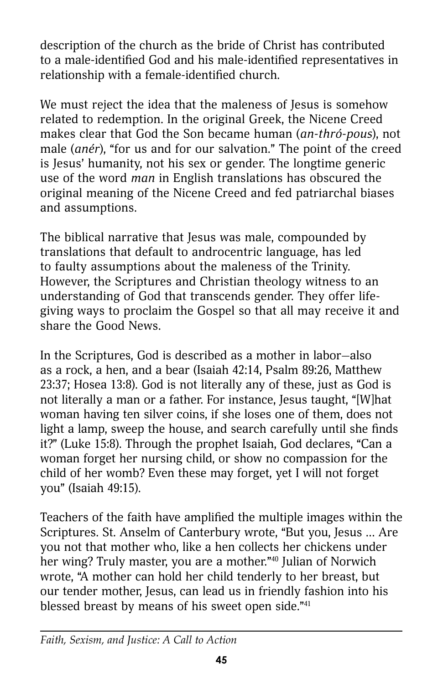description of the church as the bride of Christ has contributed to a male-identified God and his male-identified representatives in relationship with a female-identified church.

We must reject the idea that the maleness of Jesus is somehow related to redemption. In the original Greek, the Nicene Creed makes clear that God the Son became human (*an-thró-pous*), not male (*anér*), "for us and for our salvation." The point of the creed is Jesus' humanity, not his sex or gender. The longtime generic use of the word *man* in English translations has obscured the original meaning of the Nicene Creed and fed patriarchal biases and assumptions.

The biblical narrative that Jesus was male, compounded by translations that default to androcentric language, has led to faulty assumptions about the maleness of the Trinity. However, the Scriptures and Christian theology witness to an understanding of God that transcends gender. They offer lifegiving ways to proclaim the Gospel so that all may receive it and share the Good News.

In the Scriptures, God is described as a mother in labor—also as a rock, a hen, and a bear (Isaiah 42:14, Psalm 89:26, Matthew 23:37; Hosea 13:8). God is not literally any of these, just as God is not literally a man or a father. For instance, Jesus taught, "[W]hat woman having ten silver coins, if she loses one of them, does not light a lamp, sweep the house, and search carefully until she finds it?" (Luke 15:8). Through the prophet Isaiah, God declares, "Can a woman forget her nursing child, or show no compassion for the child of her womb? Even these may forget, yet I will not forget you" (Isaiah 49:15).

Teachers of the faith have amplified the multiple images within the Scriptures. St. Anselm of Canterbury wrote, "But you, Jesus ... Are you not that mother who, like a hen collects her chickens under her wing? Truly master, you are a mother."<sup>40</sup> Julian of Norwich wrote, "A mother can hold her child tenderly to her breast, but our tender mother, Jesus, can lead us in friendly fashion into his blessed breast by means of his sweet open side."<sup>41</sup>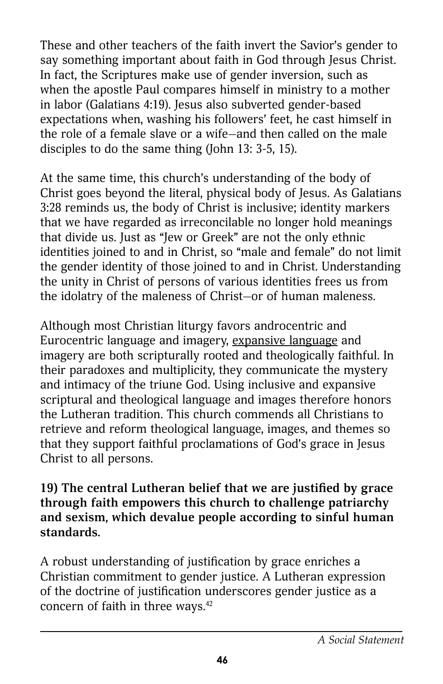These and other teachers of the faith invert the Savior's gender to say something important about faith in God through Jesus Christ. In fact, the Scriptures make use of gender inversion, such as when the apostle Paul compares himself in ministry to a mother in labor (Galatians 4:19). Jesus also subverted gender-based expectations when, washing his followers' feet, he cast himself in the role of a female slave or a wife—and then called on the male disciples to do the same thing (John 13: 3-5, 15).

At the same time, this church's understanding of the body of Christ goes beyond the literal, physical body of Jesus. As Galatians 3:28 reminds us, the body of Christ is inclusive; identity markers that we have regarded as irreconcilable no longer hold meanings that divide us. Just as "Jew or Greek" are not the only ethnic identities joined to and in Christ, so "male and female" do not limit the gender identity of those joined to and in Christ. Understanding the unity in Christ of persons of various identities frees us from the idolatry of the maleness of Christ—or of human maleness.

Although most Christian liturgy favors androcentric and Eurocentric language and imagery, expansive language and imagery are both scripturally rooted and theologically faithful. In their paradoxes and multiplicity, they communicate the mystery and intimacy of the triune God. Using inclusive and expansive scriptural and theological language and images therefore honors the Lutheran tradition. This church commends all Christians to retrieve and reform theological language, images, and themes so that they support faithful proclamations of God's grace in Jesus Christ to all persons.

#### **19) The central Lutheran belief that we are justified by grace through faith empowers this church to challenge patriarchy and sexism, which devalue people according to sinful human standards.**

A robust understanding of justification by grace enriches a Christian commitment to gender justice. A Lutheran expression of the doctrine of justification underscores gender justice as a concern of faith in three ways.<sup>42</sup>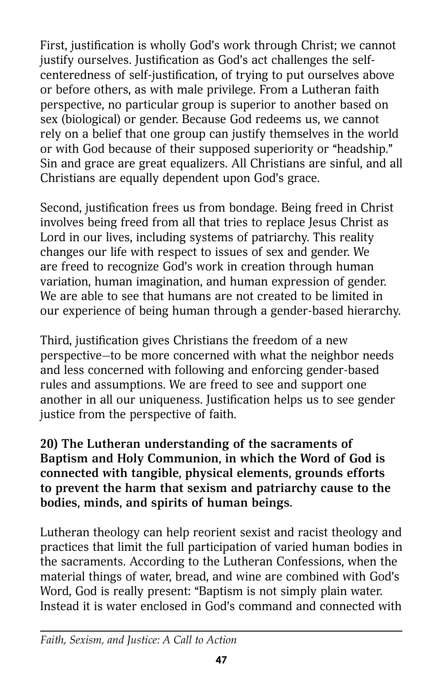First, justification is wholly God's work through Christ; we cannot justify ourselves. Justification as God's act challenges the selfcenteredness of self-justification, of trying to put ourselves above or before others, as with male privilege. From a Lutheran faith perspective, no particular group is superior to another based on sex (biological) or gender. Because God redeems us, we cannot rely on a belief that one group can justify themselves in the world or with God because of their supposed superiority or "headship." Sin and grace are great equalizers. All Christians are sinful, and all Christians are equally dependent upon God's grace.

Second, justification frees us from bondage. Being freed in Christ involves being freed from all that tries to replace Jesus Christ as Lord in our lives, including systems of patriarchy. This reality changes our life with respect to issues of sex and gender. We are freed to recognize God's work in creation through human variation, human imagination, and human expression of gender. We are able to see that humans are not created to be limited in our experience of being human through a gender-based hierarchy.

Third, justification gives Christians the freedom of a new perspective—to be more concerned with what the neighbor needs and less concerned with following and enforcing gender-based rules and assumptions. We are freed to see and support one another in all our uniqueness. Justification helps us to see gender justice from the perspective of faith.

**20) The Lutheran understanding of the sacraments of Baptism and Holy Communion, in which the Word of God is connected with tangible, physical elements, grounds efforts to prevent the harm that sexism and patriarchy cause to the bodies, minds, and spirits of human beings.**

Lutheran theology can help reorient sexist and racist theology and practices that limit the full participation of varied human bodies in the sacraments. According to the Lutheran Confessions, when the material things of water, bread, and wine are combined with God's Word, God is really present: "Baptism is not simply plain water. Instead it is water enclosed in God's command and connected with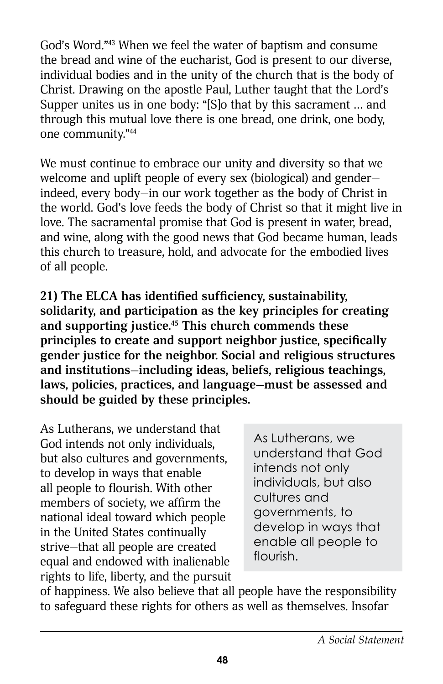God's Word."43 When we feel the water of baptism and consume the bread and wine of the eucharist, God is present to our diverse, individual bodies and in the unity of the church that is the body of Christ. Drawing on the apostle Paul, Luther taught that the Lord's Supper unites us in one body: "[S]o that by this sacrament … and through this mutual love there is one bread, one drink, one body, one community."44

We must continue to embrace our unity and diversity so that we welcome and uplift people of every sex (biological) and gender indeed, every body—in our work together as the body of Christ in the world. God's love feeds the body of Christ so that it might live in love. The sacramental promise that God is present in water, bread, and wine, along with the good news that God became human, leads this church to treasure, hold, and advocate for the embodied lives of all people.

**21) The ELCA has identified sufficiency, sustainability, solidarity, and participation as the key principles for creating and supporting justice.45 This church commends these principles to create and support neighbor justice, specifically gender justice for the neighbor. Social and religious structures and institutions—including ideas, beliefs, religious teachings, laws, policies, practices, and language—must be assessed and should be guided by these principles.**

As Lutherans, we understand that God intends not only individuals, but also cultures and governments, to develop in ways that enable all people to flourish. With other members of society, we affirm the national ideal toward which people in the United States continually strive—that all people are created equal and endowed with inalienable rights to life, liberty, and the pursuit

As Lutherans, we understand that God intends not only individuals, but also cultures and governments, to develop in ways that enable all people to flourish.

of happiness. We also believe that all people have the responsibility to safeguard these rights for others as well as themselves. Insofar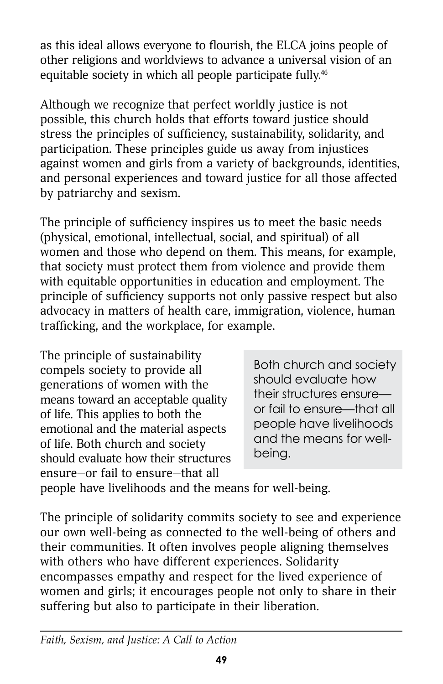as this ideal allows everyone to flourish, the ELCA joins people of other religions and worldviews to advance a universal vision of an equitable society in which all people participate fully.<sup>46</sup>

Although we recognize that perfect worldly justice is not possible, this church holds that efforts toward justice should stress the principles of sufficiency, sustainability, solidarity, and participation. These principles guide us away from injustices against women and girls from a variety of backgrounds, identities, and personal experiences and toward justice for all those affected by patriarchy and sexism.

The principle of sufficiency inspires us to meet the basic needs (physical, emotional, intellectual, social, and spiritual) of all women and those who depend on them. This means, for example, that society must protect them from violence and provide them with equitable opportunities in education and employment. The principle of sufficiency supports not only passive respect but also advocacy in matters of health care, immigration, violence, human trafficking, and the workplace, for example.

The principle of sustainability compels society to provide all generations of women with the means toward an acceptable quality of life. This applies to both the emotional and the material aspects of life. Both church and society should evaluate how their structures ensure—or fail to ensure—that all

Both church and society should evaluate how their structures ensure or fail to ensure—that all people have livelihoods and the means for wellbeing.

people have livelihoods and the means for well-being.

The principle of solidarity commits society to see and experience our own well-being as connected to the well-being of others and their communities. It often involves people aligning themselves with others who have different experiences. Solidarity encompasses empathy and respect for the lived experience of women and girls; it encourages people not only to share in their suffering but also to participate in their liberation.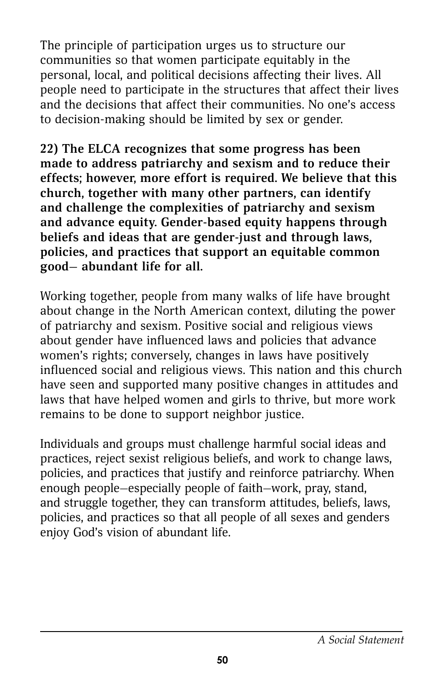The principle of participation urges us to structure our communities so that women participate equitably in the personal, local, and political decisions affecting their lives. All people need to participate in the structures that affect their lives and the decisions that affect their communities. No one's access to decision-making should be limited by sex or gender.

**22) The ELCA recognizes that some progress has been made to address patriarchy and sexism and to reduce their effects; however, more effort is required. We believe that this church, together with many other partners, can identify and challenge the complexities of patriarchy and sexism and advance equity. Gender-based equity happens through beliefs and ideas that are gender-just and through laws, policies, and practices that support an equitable common good— abundant life for all.**

Working together, people from many walks of life have brought about change in the North American context, diluting the power of patriarchy and sexism. Positive social and religious views about gender have influenced laws and policies that advance women's rights; conversely, changes in laws have positively influenced social and religious views. This nation and this church have seen and supported many positive changes in attitudes and laws that have helped women and girls to thrive, but more work remains to be done to support neighbor justice.

Individuals and groups must challenge harmful social ideas and practices, reject sexist religious beliefs, and work to change laws, policies, and practices that justify and reinforce patriarchy. When enough people—especially people of faith—work, pray, stand, and struggle together, they can transform attitudes, beliefs, laws, policies, and practices so that all people of all sexes and genders enjoy God's vision of abundant life.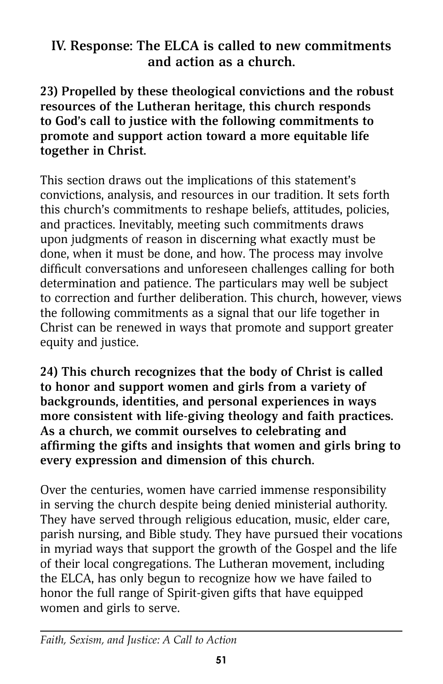### **IV. Response: The ELCA is called to new commitments and action as a church.**

**23) Propelled by these theological convictions and the robust resources of the Lutheran heritage, this church responds to God's call to justice with the following commitments to promote and support action toward a more equitable life together in Christ.**

This section draws out the implications of this statement's convictions, analysis, and resources in our tradition. It sets forth this church's commitments to reshape beliefs, attitudes, policies, and practices. Inevitably, meeting such commitments draws upon judgments of reason in discerning what exactly must be done, when it must be done, and how. The process may involve difficult conversations and unforeseen challenges calling for both determination and patience. The particulars may well be subject to correction and further deliberation. This church, however, views the following commitments as a signal that our life together in Christ can be renewed in ways that promote and support greater equity and justice.

**24) This church recognizes that the body of Christ is called to honor and support women and girls from a variety of backgrounds, identities, and personal experiences in ways more consistent with life-giving theology and faith practices. As a church, we commit ourselves to celebrating and affirming the gifts and insights that women and girls bring to every expression and dimension of this church.**

Over the centuries, women have carried immense responsibility in serving the church despite being denied ministerial authority. They have served through religious education, music, elder care, parish nursing, and Bible study. They have pursued their vocations in myriad ways that support the growth of the Gospel and the life of their local congregations. The Lutheran movement, including the ELCA, has only begun to recognize how we have failed to honor the full range of Spirit-given gifts that have equipped women and girls to serve.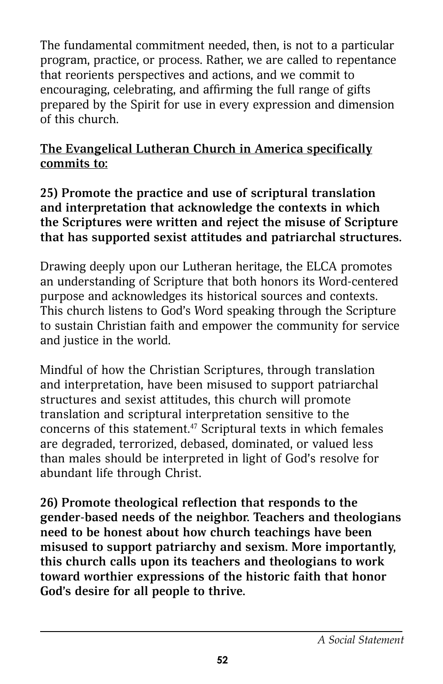The fundamental commitment needed, then, is not to a particular program, practice, or process. Rather, we are called to repentance that reorients perspectives and actions, and we commit to encouraging, celebrating, and affirming the full range of gifts prepared by the Spirit for use in every expression and dimension of this church.

### **The Evangelical Lutheran Church in America specifically commits to:**

**25) Promote the practice and use of scriptural translation and interpretation that acknowledge the contexts in which the Scriptures were written and reject the misuse of Scripture that has supported sexist attitudes and patriarchal structures.**

Drawing deeply upon our Lutheran heritage, the ELCA promotes an understanding of Scripture that both honors its Word-centered purpose and acknowledges its historical sources and contexts. This church listens to God's Word speaking through the Scripture to sustain Christian faith and empower the community for service and justice in the world.

Mindful of how the Christian Scriptures, through translation and interpretation, have been misused to support patriarchal structures and sexist attitudes, this church will promote translation and scriptural interpretation sensitive to the concerns of this statement.47 Scriptural texts in which females are degraded, terrorized, debased, dominated, or valued less than males should be interpreted in light of God's resolve for abundant life through Christ.

**26) Promote theological reflection that responds to the gender-based needs of the neighbor. Teachers and theologians need to be honest about how church teachings have been misused to support patriarchy and sexism. More importantly, this church calls upon its teachers and theologians to work toward worthier expressions of the historic faith that honor God's desire for all people to thrive.**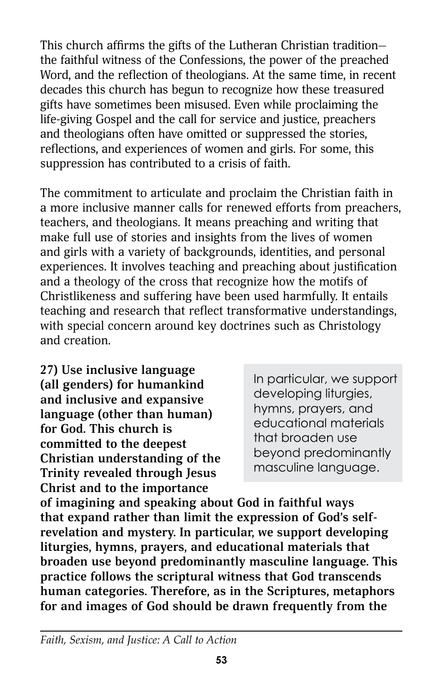This church affirms the gifts of the Lutheran Christian tradition the faithful witness of the Confessions, the power of the preached Word, and the reflection of theologians. At the same time, in recent decades this church has begun to recognize how these treasured gifts have sometimes been misused. Even while proclaiming the life-giving Gospel and the call for service and justice, preachers and theologians often have omitted or suppressed the stories, reflections, and experiences of women and girls. For some, this suppression has contributed to a crisis of faith.

The commitment to articulate and proclaim the Christian faith in a more inclusive manner calls for renewed efforts from preachers, teachers, and theologians. It means preaching and writing that make full use of stories and insights from the lives of women and girls with a variety of backgrounds, identities, and personal experiences. It involves teaching and preaching about justification and a theology of the cross that recognize how the motifs of Christlikeness and suffering have been used harmfully. It entails teaching and research that reflect transformative understandings, with special concern around key doctrines such as Christology and creation.

**27) Use inclusive language (all genders) for humankind and inclusive and expansive language (other than human) for God. This church is committed to the deepest Christian understanding of the Trinity revealed through Jesus Christ and to the importance** 

In particular, we support developing liturgies, hymns, prayers, and educational materials that broaden use beyond predominantly masculine language.

**of imagining and speaking about God in faithful ways that expand rather than limit the expression of God's selfrevelation and mystery. In particular, we support developing liturgies, hymns, prayers, and educational materials that broaden use beyond predominantly masculine language. This practice follows the scriptural witness that God transcends human categories. Therefore, as in the Scriptures, metaphors for and images of God should be drawn frequently from the**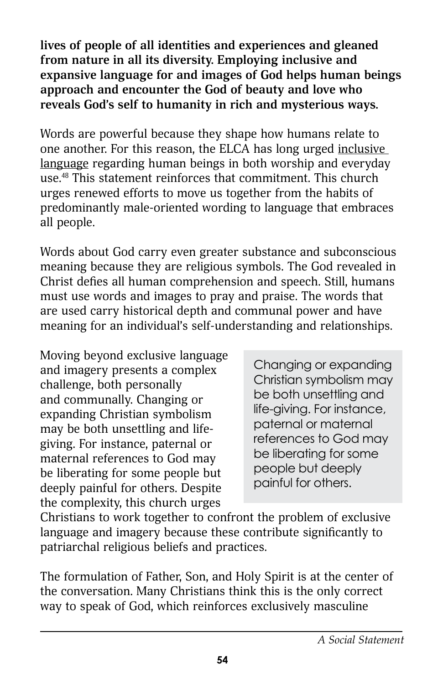**lives of people of all identities and experiences and gleaned from nature in all its diversity. Employing inclusive and expansive language for and images of God helps human beings approach and encounter the God of beauty and love who reveals God's self to humanity in rich and mysterious ways.**

Words are powerful because they shape how humans relate to one another. For this reason, the ELCA has long urged inclusive language regarding human beings in both worship and everyday use.48 This statement reinforces that commitment. This church urges renewed efforts to move us together from the habits of predominantly male-oriented wording to language that embraces all people.

Words about God carry even greater substance and subconscious meaning because they are religious symbols. The God revealed in Christ defies all human comprehension and speech. Still, humans must use words and images to pray and praise. The words that are used carry historical depth and communal power and have meaning for an individual's self-understanding and relationships.

Moving beyond exclusive language and imagery presents a complex challenge, both personally and communally. Changing or expanding Christian symbolism may be both unsettling and lifegiving. For instance, paternal or maternal references to God may be liberating for some people but deeply painful for others. Despite the complexity, this church urges

Changing or expanding Christian symbolism may be both unsettling and life-giving. For instance, paternal or maternal references to God may be liberating for some people but deeply painful for others.

Christians to work together to confront the problem of exclusive language and imagery because these contribute significantly to patriarchal religious beliefs and practices.

The formulation of Father, Son, and Holy Spirit is at the center of the conversation. Many Christians think this is the only correct way to speak of God, which reinforces exclusively masculine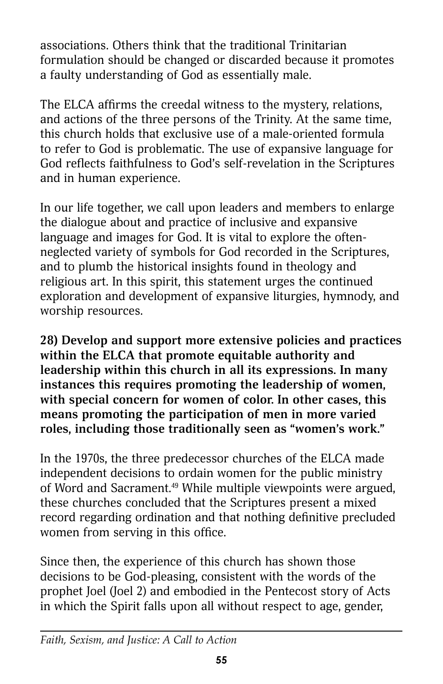associations. Others think that the traditional Trinitarian formulation should be changed or discarded because it promotes a faulty understanding of God as essentially male.

The ELCA affirms the creedal witness to the mystery, relations, and actions of the three persons of the Trinity. At the same time, this church holds that exclusive use of a male-oriented formula to refer to God is problematic. The use of expansive language for God reflects faithfulness to God's self-revelation in the Scriptures and in human experience.

In our life together, we call upon leaders and members to enlarge the dialogue about and practice of inclusive and expansive language and images for God. It is vital to explore the oftenneglected variety of symbols for God recorded in the Scriptures, and to plumb the historical insights found in theology and religious art. In this spirit, this statement urges the continued exploration and development of expansive liturgies, hymnody, and worship resources.

**28) Develop and support more extensive policies and practices within the ELCA that promote equitable authority and leadership within this church in all its expressions. In many instances this requires promoting the leadership of women, with special concern for women of color. In other cases, this means promoting the participation of men in more varied roles, including those traditionally seen as "women's work."**

In the 1970s, the three predecessor churches of the ELCA made independent decisions to ordain women for the public ministry of Word and Sacrament.49 While multiple viewpoints were argued, these churches concluded that the Scriptures present a mixed record regarding ordination and that nothing definitive precluded women from serving in this office.

Since then, the experience of this church has shown those decisions to be God-pleasing, consistent with the words of the prophet Joel (Joel 2) and embodied in the Pentecost story of Acts in which the Spirit falls upon all without respect to age, gender,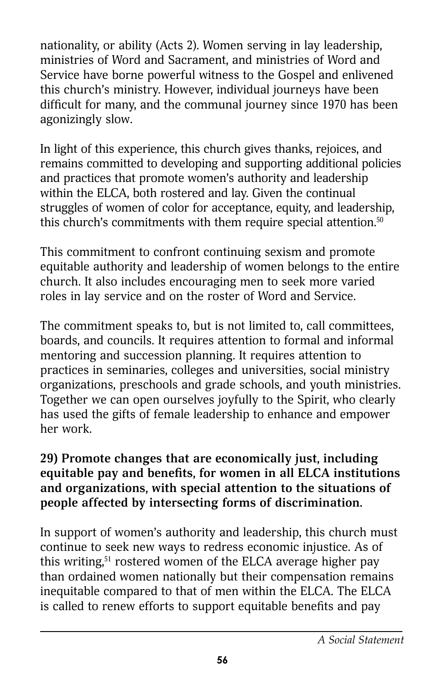nationality, or ability (Acts 2). Women serving in lay leadership, ministries of Word and Sacrament, and ministries of Word and Service have borne powerful witness to the Gospel and enlivened this church's ministry. However, individual journeys have been difficult for many, and the communal journey since 1970 has been agonizingly slow.

In light of this experience, this church gives thanks, rejoices, and remains committed to developing and supporting additional policies and practices that promote women's authority and leadership within the ELCA, both rostered and lay. Given the continual struggles of women of color for acceptance, equity, and leadership, this church's commitments with them require special attention.<sup>50</sup>

This commitment to confront continuing sexism and promote equitable authority and leadership of women belongs to the entire church. It also includes encouraging men to seek more varied roles in lay service and on the roster of Word and Service.

The commitment speaks to, but is not limited to, call committees, boards, and councils. It requires attention to formal and informal mentoring and succession planning. It requires attention to practices in seminaries, colleges and universities, social ministry organizations, preschools and grade schools, and youth ministries. Together we can open ourselves joyfully to the Spirit, who clearly has used the gifts of female leadership to enhance and empower her work.

### **29) Promote changes that are economically just, including equitable pay and benefits, for women in all ELCA institutions and organizations, with special attention to the situations of people affected by intersecting forms of discrimination.**

In support of women's authority and leadership, this church must continue to seek new ways to redress economic injustice. As of this writing, $51$  rostered women of the ELCA average higher pay than ordained women nationally but their compensation remains inequitable compared to that of men within the ELCA. The ELCA is called to renew efforts to support equitable benefits and pay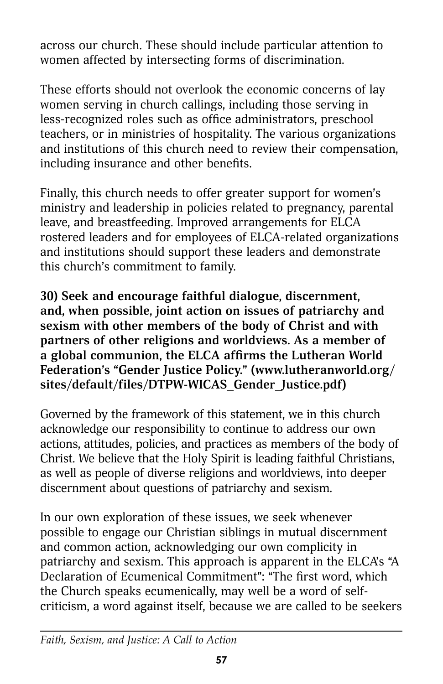across our church. These should include particular attention to women affected by intersecting forms of discrimination.

These efforts should not overlook the economic concerns of lay women serving in church callings, including those serving in less-recognized roles such as office administrators, preschool teachers, or in ministries of hospitality. The various organizations and institutions of this church need to review their compensation, including insurance and other benefits.

Finally, this church needs to offer greater support for women's ministry and leadership in policies related to pregnancy, parental leave, and breastfeeding. Improved arrangements for ELCA rostered leaders and for employees of ELCA-related organizations and institutions should support these leaders and demonstrate this church's commitment to family.

**30) Seek and encourage faithful dialogue, discernment, and, when possible, joint action on issues of patriarchy and sexism with other members of the body of Christ and with partners of other religions and worldviews. As a member of a global communion, the ELCA affirms the Lutheran World Federation's "Gender Justice Policy." [\(www.lutheranworld.org/](http://www.lutheranworld.org/sites/default/files/DTPW-WICAS_Gender_Justice.pdf) [sites/default/files/DTPW-WICAS\\_Gender\\_Justice.pdf\)](http://www.lutheranworld.org/sites/default/files/DTPW-WICAS_Gender_Justice.pdf)**

Governed by the framework of this statement, we in this church acknowledge our responsibility to continue to address our own actions, attitudes, policies, and practices as members of the body of Christ. We believe that the Holy Spirit is leading faithful Christians, as well as people of diverse religions and worldviews, into deeper discernment about questions of patriarchy and sexism.

In our own exploration of these issues, we seek whenever possible to engage our Christian siblings in mutual discernment and common action, acknowledging our own complicity in patriarchy and sexism. This approach is apparent in the ELCA's "A Declaration of Ecumenical Commitment": "The first word, which the Church speaks ecumenically, may well be a word of selfcriticism, a word against itself, because we are called to be seekers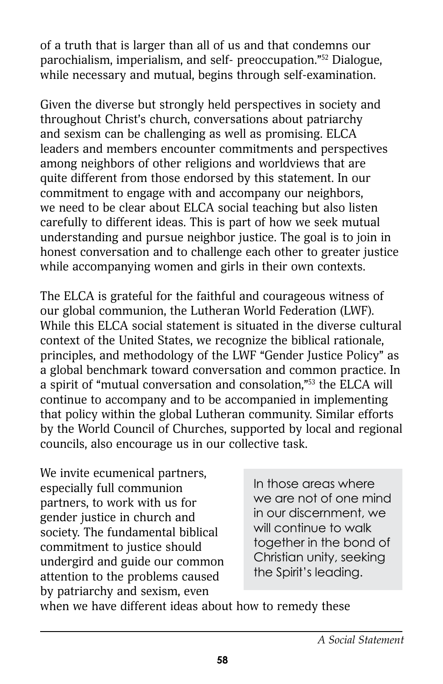of a truth that is larger than all of us and that condemns our parochialism, imperialism, and self- preoccupation."52 Dialogue, while necessary and mutual, begins through self-examination.

Given the diverse but strongly held perspectives in society and throughout Christ's church, conversations about patriarchy and sexism can be challenging as well as promising. ELCA leaders and members encounter commitments and perspectives among neighbors of other religions and worldviews that are quite different from those endorsed by this statement. In our commitment to engage with and accompany our neighbors, we need to be clear about ELCA social teaching but also listen carefully to different ideas. This is part of how we seek mutual understanding and pursue neighbor justice. The goal is to join in honest conversation and to challenge each other to greater justice while accompanying women and girls in their own contexts.

The ELCA is grateful for the faithful and courageous witness of our global communion, the Lutheran World Federation (LWF). While this ELCA social statement is situated in the diverse cultural context of the United States, we recognize the biblical rationale, principles, and methodology of the LWF "Gender Justice Policy" as a global benchmark toward conversation and common practice. In a spirit of "mutual conversation and consolation,"53 the ELCA will continue to accompany and to be accompanied in implementing that policy within the global Lutheran community. Similar efforts by the World Council of Churches, supported by local and regional councils, also encourage us in our collective task.

We invite ecumenical partners, especially full communion partners, to work with us for gender justice in church and society. The fundamental biblical commitment to justice should undergird and guide our common attention to the problems caused by patriarchy and sexism, even

In those areas where we are not of one mind in our discernment, we will continue to walk together in the bond of Christian unity, seeking the Spirit's leading.

when we have different ideas about how to remedy these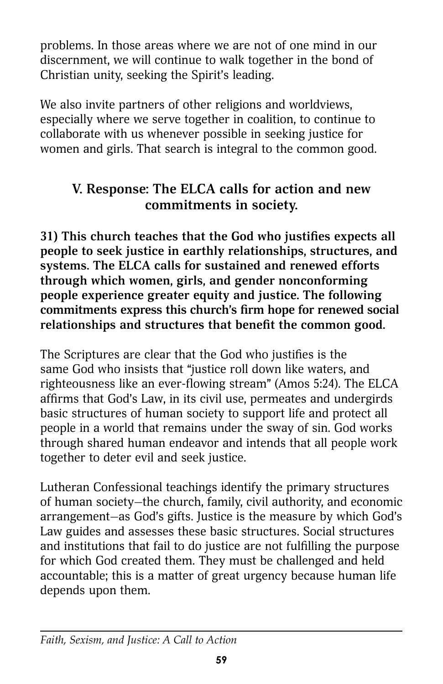problems. In those areas where we are not of one mind in our discernment, we will continue to walk together in the bond of Christian unity, seeking the Spirit's leading.

We also invite partners of other religions and worldviews, especially where we serve together in coalition, to continue to collaborate with us whenever possible in seeking justice for women and girls. That search is integral to the common good.

## **V. Response: The ELCA calls for action and new commitments in society.**

**31) This church teaches that the God who justifies expects all people to seek justice in earthly relationships, structures, and systems. The ELCA calls for sustained and renewed efforts through which women, girls, and gender nonconforming people experience greater equity and justice. The following commitments express this church's firm hope for renewed social relationships and structures that benefit the common good.**

The Scriptures are clear that the God who justifies is the same God who insists that "justice roll down like waters, and righteousness like an ever-flowing stream" (Amos 5:24). The ELCA affirms that God's Law, in its civil use, permeates and undergirds basic structures of human society to support life and protect all people in a world that remains under the sway of sin. God works through shared human endeavor and intends that all people work together to deter evil and seek justice.

Lutheran Confessional teachings identify the primary structures of human society—the church, family, civil authority, and economic arrangement—as God's gifts. Justice is the measure by which God's Law guides and assesses these basic structures. Social structures and institutions that fail to do justice are not fulfilling the purpose for which God created them. They must be challenged and held accountable; this is a matter of great urgency because human life depends upon them.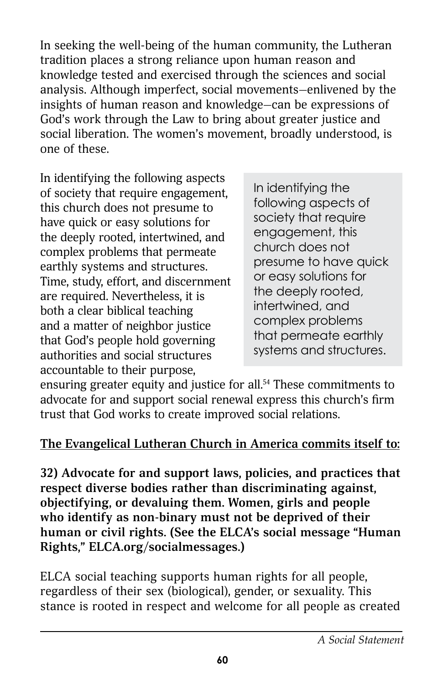In seeking the well-being of the human community, the Lutheran tradition places a strong reliance upon human reason and knowledge tested and exercised through the sciences and social analysis. Although imperfect, social movements—enlivened by the insights of human reason and knowledge—can be expressions of God's work through the Law to bring about greater justice and social liberation. The women's movement, broadly understood, is one of these.

In identifying the following aspects of society that require engagement, this church does not presume to have quick or easy solutions for the deeply rooted, intertwined, and complex problems that permeate earthly systems and structures. Time, study, effort, and discernment are required. Nevertheless, it is both a clear biblical teaching and a matter of neighbor justice that God's people hold governing authorities and social structures accountable to their purpose,

In identifying the following aspects of society that require engagement, this church does not presume to have quick or easy solutions for the deeply rooted, intertwined, and complex problems that permeate earthly systems and structures.

ensuring greater equity and justice for all.<sup>54</sup> These commitments to advocate for and support social renewal express this church's firm trust that God works to create improved social relations.

### **The Evangelical Lutheran Church in America commits itself to:**

**32) Advocate for and support laws, policies, and practices that respect diverse bodies rather than discriminating against, objectifying, or devaluing them. Women, girls and people who identify as non-binary must not be deprived of their human or civil rights. (See the ELCA's social message "Human Rights," [ELCA.org/socialmessages.](http://www.ELCA.org/socialmessages))** 

ELCA social teaching supports human rights for all people, regardless of their sex (biological), gender, or sexuality. This stance is rooted in respect and welcome for all people as created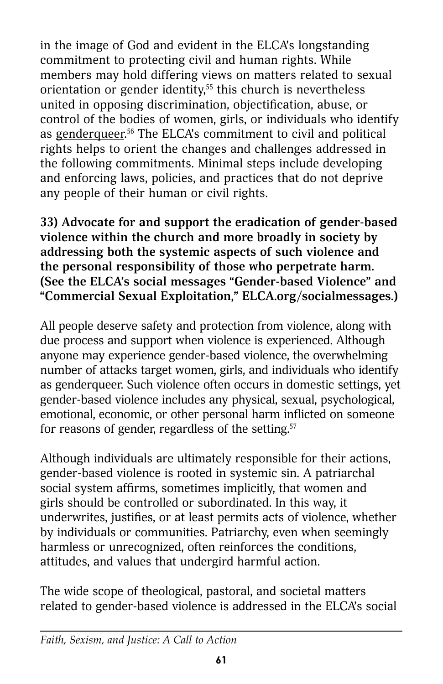in the image of God and evident in the ELCA's longstanding commitment to protecting civil and human rights. While members may hold differing views on matters related to sexual orientation or gender identity,<sup>55</sup> this church is nevertheless united in opposing discrimination, objectification, abuse, or control of the bodies of women, girls, or individuals who identify as genderqueer.<sup>56</sup> The ELCA's commitment to civil and political rights helps to orient the changes and challenges addressed in the following commitments. Minimal steps include developing and enforcing laws, policies, and practices that do not deprive any people of their human or civil rights.

### **33) Advocate for and support the eradication of gender-based violence within the church and more broadly in society by addressing both the systemic aspects of such violence and the personal responsibility of those who perpetrate harm. (See the ELCA's social messages "Gender-based Violence" and "Commercial Sexual Exploitation,[" ELCA.org/socialmessages.](http://www.ELCA.org/socialmessages))**

All people deserve safety and protection from violence, along with due process and support when violence is experienced. Although anyone may experience gender-based violence, the overwhelming number of attacks target women, girls, and individuals who identify as genderqueer. Such violence often occurs in domestic settings, yet gender-based violence includes any physical, sexual, psychological, emotional, economic, or other personal harm inflicted on someone for reasons of gender, regardless of the setting.<sup>57</sup>

Although individuals are ultimately responsible for their actions, gender-based violence is rooted in systemic sin. A patriarchal social system affirms, sometimes implicitly, that women and girls should be controlled or subordinated. In this way, it underwrites, justifies, or at least permits acts of violence, whether by individuals or communities. Patriarchy, even when seemingly harmless or unrecognized, often reinforces the conditions, attitudes, and values that undergird harmful action.

The wide scope of theological, pastoral, and societal matters related to gender-based violence is addressed in the ELCA's social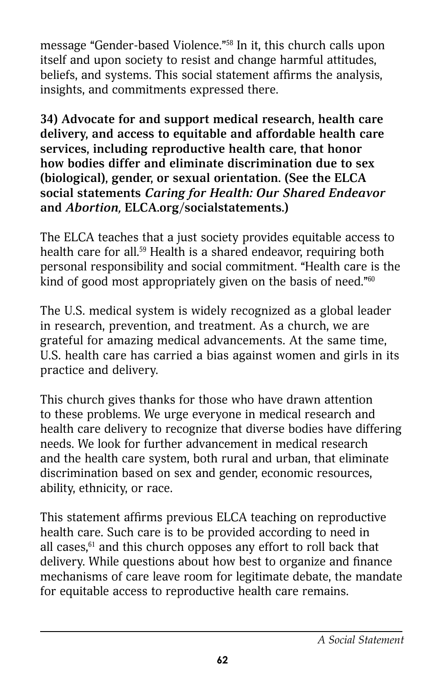message "Gender-based Violence."58 In it, this church calls upon itself and upon society to resist and change harmful attitudes, beliefs, and systems. This social statement affirms the analysis, insights, and commitments expressed there.

**34) Advocate for and support medical research, health care delivery, and access to equitable and affordable health care services, including reproductive health care, that honor how bodies differ and eliminate discrimination due to sex (biological), gender, or sexual orientation. (See the ELCA social statements** *Caring for Health: Our Shared Endeavor* **and** *Abortion,* **[ELCA.org/socialstatements.](http://www.ELCA.org/socialstatements))** 

The ELCA teaches that a just society provides equitable access to health care for all.<sup>59</sup> Health is a shared endeavor, requiring both personal responsibility and social commitment. "Health care is the kind of good most appropriately given on the basis of need."<sup>60</sup>

The U.S. medical system is widely recognized as a global leader in research, prevention, and treatment. As a church, we are grateful for amazing medical advancements. At the same time, U.S. health care has carried a bias against women and girls in its practice and delivery.

This church gives thanks for those who have drawn attention to these problems. We urge everyone in medical research and health care delivery to recognize that diverse bodies have differing needs. We look for further advancement in medical research and the health care system, both rural and urban, that eliminate discrimination based on sex and gender, economic resources, ability, ethnicity, or race.

This statement affirms previous ELCA teaching on reproductive health care. Such care is to be provided according to need in all cases, $61$  and this church opposes any effort to roll back that delivery. While questions about how best to organize and finance mechanisms of care leave room for legitimate debate, the mandate for equitable access to reproductive health care remains.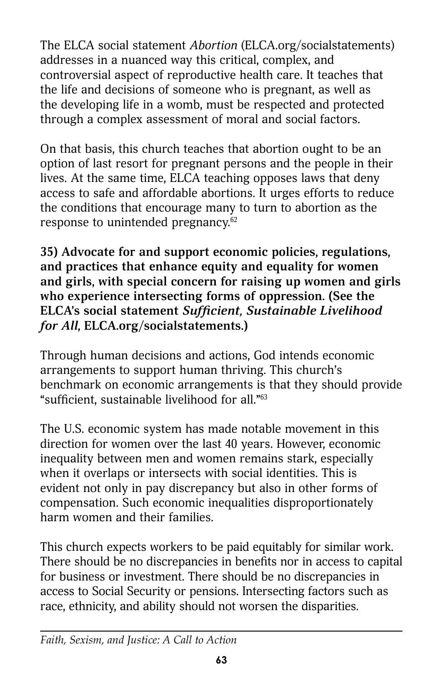The ELCA social statement *Abortion* ([ELCA.org/socialstatements](http://www.ELCA.org/socialstatements)) addresses in a nuanced way this critical, complex, and controversial aspect of reproductive health care. It teaches that the life and decisions of someone who is pregnant, as well as the developing life in a womb, must be respected and protected through a complex assessment of moral and social factors.

On that basis, this church teaches that abortion ought to be an option of last resort for pregnant persons and the people in their lives. At the same time, ELCA teaching opposes laws that deny access to safe and affordable abortions. It urges efforts to reduce the conditions that encourage many to turn to abortion as the response to unintended pregnancy.<sup>62</sup>

**35) Advocate for and support economic policies, regulations, and practices that enhance equity and equality for women and girls, with special concern for raising up women and girls who experience intersecting forms of oppression. (See the ELCA's social statement** *Sufficient, Sustainable Livelihood for All***, [ELCA.org/socialstatements.\)](http://www.ELCA.org/socialstatements.)**

Through human decisions and actions, God intends economic arrangements to support human thriving. This church's benchmark on economic arrangements is that they should provide "sufficient, sustainable livelihood for all."63

The U.S. economic system has made notable movement in this direction for women over the last 40 years. However, economic inequality between men and women remains stark, especially when it overlaps or intersects with social identities. This is evident not only in pay discrepancy but also in other forms of compensation. Such economic inequalities disproportionately harm women and their families.

This church expects workers to be paid equitably for similar work. There should be no discrepancies in benefits nor in access to capital for business or investment. There should be no discrepancies in access to Social Security or pensions. Intersecting factors such as race, ethnicity, and ability should not worsen the disparities.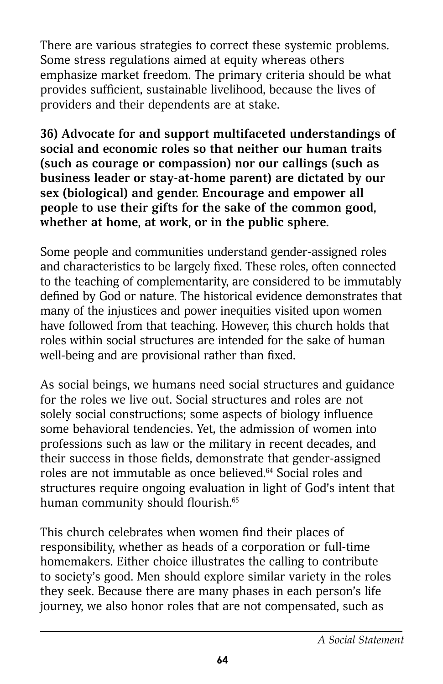There are various strategies to correct these systemic problems. Some stress regulations aimed at equity whereas others emphasize market freedom. The primary criteria should be what provides sufficient, sustainable livelihood, because the lives of providers and their dependents are at stake.

**36) Advocate for and support multifaceted understandings of social and economic roles so that neither our human traits (such as courage or compassion) nor our callings (such as business leader or stay-at-home parent) are dictated by our sex (biological) and gender. Encourage and empower all people to use their gifts for the sake of the common good, whether at home, at work, or in the public sphere.**

Some people and communities understand gender-assigned roles and characteristics to be largely fixed. These roles, often connected to the teaching of complementarity, are considered to be immutably defined by God or nature. The historical evidence demonstrates that many of the injustices and power inequities visited upon women have followed from that teaching. However, this church holds that roles within social structures are intended for the sake of human well-being and are provisional rather than fixed.

As social beings, we humans need social structures and guidance for the roles we live out. Social structures and roles are not solely social constructions; some aspects of biology influence some behavioral tendencies. Yet, the admission of women into professions such as law or the military in recent decades, and their success in those fields, demonstrate that gender-assigned roles are not immutable as once believed.64 Social roles and structures require ongoing evaluation in light of God's intent that human community should flourish.65

This church celebrates when women find their places of responsibility, whether as heads of a corporation or full-time homemakers. Either choice illustrates the calling to contribute to society's good. Men should explore similar variety in the roles they seek. Because there are many phases in each person's life journey, we also honor roles that are not compensated, such as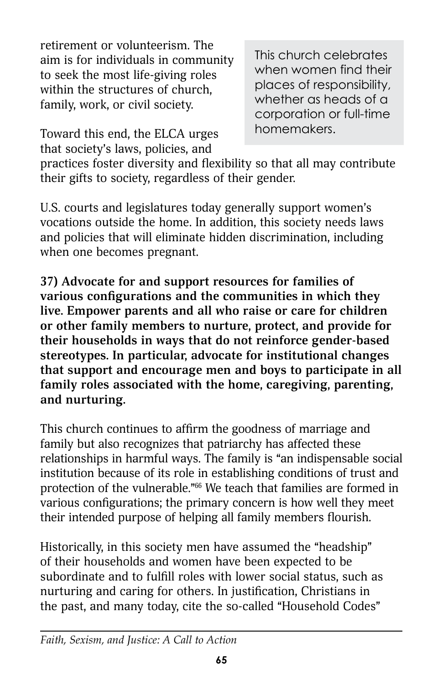retirement or volunteerism. The aim is for individuals in community to seek the most life-giving roles within the structures of church, family, work, or civil society.

Toward this end, the ELCA urges that society's laws, policies, and

This church celebrates when women find their places of responsibility, whether as heads of a corporation or full-time homemakers.

practices foster diversity and flexibility so that all may contribute their gifts to society, regardless of their gender.

U.S. courts and legislatures today generally support women's vocations outside the home. In addition, this society needs laws and policies that will eliminate hidden discrimination, including when one becomes pregnant.

**37) Advocate for and support resources for families of various configurations and the communities in which they live. Empower parents and all who raise or care for children or other family members to nurture, protect, and provide for their households in ways that do not reinforce gender-based stereotypes. In particular, advocate for institutional changes that support and encourage men and boys to participate in all family roles associated with the home, caregiving, parenting, and nurturing.**

This church continues to affirm the goodness of marriage and family but also recognizes that patriarchy has affected these relationships in harmful ways. The family is "an indispensable social institution because of its role in establishing conditions of trust and protection of the vulnerable."66 We teach that families are formed in various configurations; the primary concern is how well they meet their intended purpose of helping all family members flourish.

Historically, in this society men have assumed the "headship" of their households and women have been expected to be subordinate and to fulfill roles with lower social status, such as nurturing and caring for others. In justification, Christians in the past, and many today, cite the so-called "Household Codes"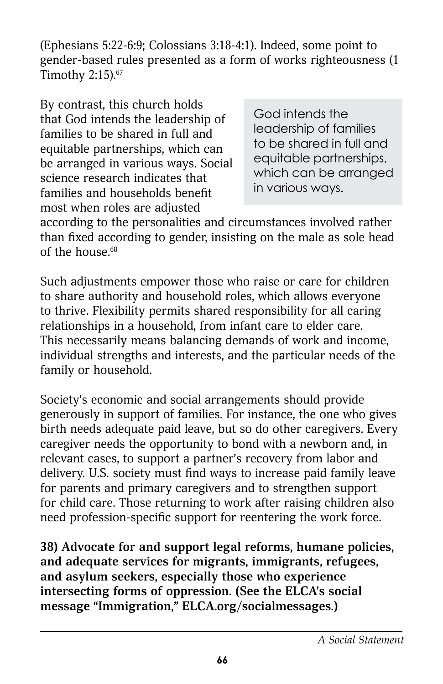(Ephesians 5:22-6:9; Colossians 3:18-4:1). Indeed, some point to gender-based rules presented as a form of works righteousness (1 Timothy 2:15).67

By contrast, this church holds that God intends the leadership of families to be shared in full and equitable partnerships, which can be arranged in various ways. Social science research indicates that families and households benefit most when roles are adjusted

God intends the leadership of families to be shared in full and equitable partnerships, which can be arranged in various ways.

according to the personalities and circumstances involved rather than fixed according to gender, insisting on the male as sole head of the house. $68$ 

Such adjustments empower those who raise or care for children to share authority and household roles, which allows everyone to thrive. Flexibility permits shared responsibility for all caring relationships in a household, from infant care to elder care. This necessarily means balancing demands of work and income, individual strengths and interests, and the particular needs of the family or household.

Society's economic and social arrangements should provide generously in support of families. For instance, the one who gives birth needs adequate paid leave, but so do other caregivers. Every caregiver needs the opportunity to bond with a newborn and, in relevant cases, to support a partner's recovery from labor and delivery. U.S. society must find ways to increase paid family leave for parents and primary caregivers and to strengthen support for child care. Those returning to work after raising children also need profession-specific support for reentering the work force.

**38) Advocate for and support legal reforms, humane policies, and adequate services for migrants, immigrants, refugees, and asylum seekers, especially those who experience intersecting forms of oppression. (See the ELCA's social message "Immigration," [ELCA.org/socialmessages](http://www.ELCA.org/socialmessages).)**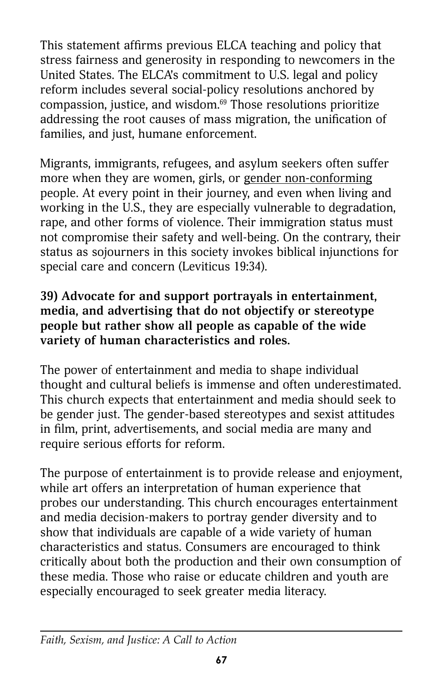This statement affirms previous ELCA teaching and policy that stress fairness and generosity in responding to newcomers in the United States. The ELCA's commitment to U.S. legal and policy reform includes several social-policy resolutions anchored by compassion, justice, and wisdom.69 Those resolutions prioritize addressing the root causes of mass migration, the unification of families, and just, humane enforcement.

Migrants, immigrants, refugees, and asylum seekers often suffer more when they are women, girls, or gender non-conforming people. At every point in their journey, and even when living and working in the U.S., they are especially vulnerable to degradation, rape, and other forms of violence. Their immigration status must not compromise their safety and well-being. On the contrary, their status as sojourners in this society invokes biblical injunctions for special care and concern (Leviticus 19:34).

### **39) Advocate for and support portrayals in entertainment, media, and advertising that do not objectify or stereotype people but rather show all people as capable of the wide variety of human characteristics and roles.**

The power of entertainment and media to shape individual thought and cultural beliefs is immense and often underestimated. This church expects that entertainment and media should seek to be gender just. The gender-based stereotypes and sexist attitudes in film, print, advertisements, and social media are many and require serious efforts for reform.

The purpose of entertainment is to provide release and enjoyment, while art offers an interpretation of human experience that probes our understanding. This church encourages entertainment and media decision-makers to portray gender diversity and to show that individuals are capable of a wide variety of human characteristics and status. Consumers are encouraged to think critically about both the production and their own consumption of these media. Those who raise or educate children and youth are especially encouraged to seek greater media literacy.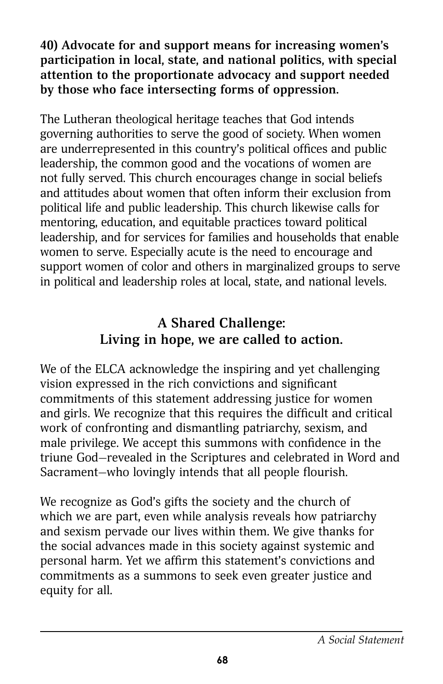**40) Advocate for and support means for increasing women's participation in local, state, and national politics, with special attention to the proportionate advocacy and support needed by those who face intersecting forms of oppression.**

The Lutheran theological heritage teaches that God intends governing authorities to serve the good of society. When women are underrepresented in this country's political offices and public leadership, the common good and the vocations of women are not fully served. This church encourages change in social beliefs and attitudes about women that often inform their exclusion from political life and public leadership. This church likewise calls for mentoring, education, and equitable practices toward political leadership, and for services for families and households that enable women to serve. Especially acute is the need to encourage and support women of color and others in marginalized groups to serve in political and leadership roles at local, state, and national levels.

## **A Shared Challenge: Living in hope, we are called to action.**

We of the ELCA acknowledge the inspiring and yet challenging vision expressed in the rich convictions and significant commitments of this statement addressing justice for women and girls. We recognize that this requires the difficult and critical work of confronting and dismantling patriarchy, sexism, and male privilege. We accept this summons with confidence in the triune God—revealed in the Scriptures and celebrated in Word and Sacrament—who lovingly intends that all people flourish.

We recognize as God's gifts the society and the church of which we are part, even while analysis reveals how patriarchy and sexism pervade our lives within them. We give thanks for the social advances made in this society against systemic and personal harm. Yet we affirm this statement's convictions and commitments as a summons to seek even greater justice and equity for all.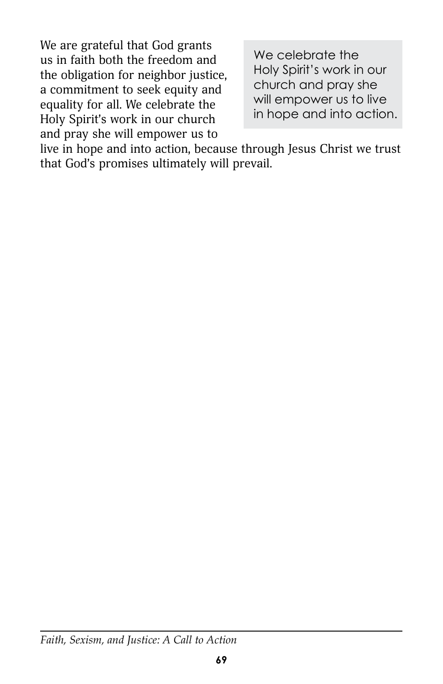We are grateful that God grants us in faith both the freedom and the obligation for neighbor justice, a commitment to seek equity and equality for all. We celebrate the Holy Spirit's work in our church and pray she will empower us to

We celebrate the Holy Spirit's work in our church and pray she will empower us to live in hope and into action.

live in hope and into action, because through Jesus Christ we trust that God's promises ultimately will prevail.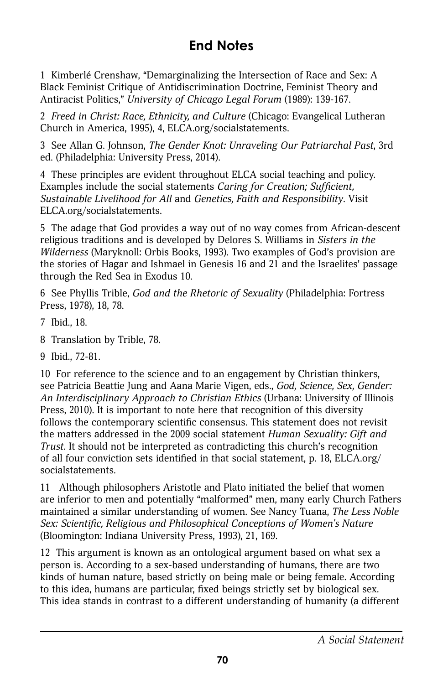# **End Notes**

1 Kimberlé Crenshaw, "Demarginalizing the Intersection of Race and Sex: A Black Feminist Critique of Antidiscrimination Doctrine, Feminist Theory and Antiracist Politics," *University of Chicago Legal Forum* (1989): 139-167.

2 *Freed in Christ: Race, Ethnicity, and Culture* (Chicago: Evangelical Lutheran Church in America, 1995), 4, [ELCA.org/socialstatements.](http://www.ELCA.org/socialstatements)

3 See Allan G. Johnson, *The Gender Knot: Unraveling Our Patriarchal Past*, 3rd ed. (Philadelphia: University Press, 2014).

4 These principles are evident throughout ELCA social teaching and policy. Examples include the social statements *Caring for Creation; Sufficient, Sustainable Livelihood for All* and *Genetics, Faith and Responsibility*. Visit [ELCA.org/socialstatements.](http://www.ELCA.org/socialstatements)

5 The adage that God provides a way out of no way comes from African-descent religious traditions and is developed by Delores S. Williams in *Sisters in the Wilderness* (Maryknoll: Orbis Books, 1993). Two examples of God's provision are the stories of Hagar and Ishmael in Genesis 16 and 21 and the Israelites' passage through the Red Sea in Exodus 10.

6 See Phyllis Trible, *God and the Rhetoric of Sexuality* (Philadelphia: Fortress Press, 1978), 18, 78.

- 7 Ibid., 18.
- 8 Translation by Trible, 78.
- 9 Ibid., 72-81.

10 For reference to the science and to an engagement by Christian thinkers, see Patricia Beattie Jung and Aana Marie Vigen, eds., *God, Science, Sex, Gender: An Interdisciplinary Approach to Christian Ethics* (Urbana: University of Illinois Press, 2010). It is important to note here that recognition of this diversity follows the contemporary scientific consensus. This statement does not revisit the matters addressed in the 2009 social statement *Human Sexuality: Gift and Trust*. It should not be interpreted as contradicting this church's recognition of all four conviction sets identified in that social statement, p. 18, [ELCA.org/](http://www.elca.org/socialstatements) [socialstatements.](http://www.elca.org/socialstatements)

11 Although philosophers Aristotle and Plato initiated the belief that women are inferior to men and potentially "malformed" men, many early Church Fathers maintained a similar understanding of women. See Nancy Tuana, *The Less Noble Sex: Scientific, Religious and Philosophical Conceptions of Women's Nature* (Bloomington: Indiana University Press, 1993), 21, 169.

12 This argument is known as an ontological argument based on what sex a person is. According to a sex-based understanding of humans, there are two kinds of human nature, based strictly on being male or being female. According to this idea, humans are particular, fixed beings strictly set by biological sex. This idea stands in contrast to a different understanding of humanity (a different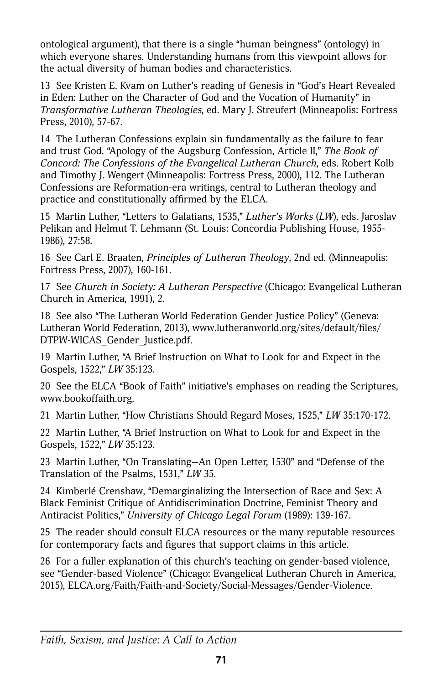ontological argument), that there is a single "human beingness" (ontology) in which everyone shares. Understanding humans from this viewpoint allows for the actual diversity of human bodies and characteristics.

13 See Kristen E. Kvam on Luther's reading of Genesis in "God's Heart Revealed in Eden: Luther on the Character of God and the Vocation of Humanity" in *Transformative Lutheran Theologies*, ed. Mary J. Streufert (Minneapolis: Fortress Press, 2010), 57-67.

14 The Lutheran Confessions explain sin fundamentally as the failure to fear and trust God. "Apology of the Augsburg Confession, Article II," *The Book of Concord: The Confessions of the Evangelical Lutheran Church*, eds. Robert Kolb and Timothy J. Wengert (Minneapolis: Fortress Press, 2000), 112. The Lutheran Confessions are Reformation-era writings, central to Lutheran theology and practice and constitutionally affirmed by the ELCA.

15 Martin Luther, "Letters to Galatians, 1535," *Luther's Works* (*LW*), eds. Jaroslav Pelikan and Helmut T. Lehmann (St. Louis: Concordia Publishing House, 1955- 1986), 27:58.

16 See Carl E. Braaten, *Principles of Lutheran Theology*, 2nd ed. (Minneapolis: Fortress Press, 2007), 160-161.

17 See *Church in Society: A Lutheran Perspective* (Chicago: Evangelical Lutheran Church in America, 1991), 2.

18 See also "The Lutheran World Federation Gender Justice Policy" (Geneva: Lutheran World Federation, 2013), [www.lutheranworld.org/sites/default/files/](http://www.lutheranworld.org/sites/default/files/DTPW-WICAS_Gender_Justice.pdf) [DTPW-WICAS\\_Gender\\_Justice.pdf](http://www.lutheranworld.org/sites/default/files/DTPW-WICAS_Gender_Justice.pdf).

19 Martin Luther, "A Brief Instruction on What to Look for and Expect in the Gospels, 1522," *LW* 35:123.

20 See the ELCA "Book of Faith" initiative's emphases on reading the Scriptures, [www.bookoffaith.org](http://www.bookoffaith.org).

21 Martin Luther, "How Christians Should Regard Moses, 1525," *LW* 35:170-172.

22 Martin Luther, "A Brief Instruction on What to Look for and Expect in the Gospels, 1522," *LW* 35:123.

23 Martin Luther, "On Translating—An Open Letter, 1530" and "Defense of the Translation of the Psalms, 1531," *LW* 35.

24 Kimberlé Crenshaw, "Demarginalizing the Intersection of Race and Sex: A Black Feminist Critique of Antidiscrimination Doctrine, Feminist Theory and Antiracist Politics," *University of Chicago Legal Forum* (1989): 139-167.

25 The reader should consult ELCA resources or the many reputable resources for contemporary facts and figures that support claims in this article.

26 For a fuller explanation of this church's teaching on gender-based violence, see "Gender-based Violence" (Chicago: Evangelical Lutheran Church in America, 2015), [ELCA.org/Faith/Faith-and-Society/Social-Messages/Gender-Violence](http://www.elca.org/Faith/Faith-and-Society/Social-Messages/Gender-Violence).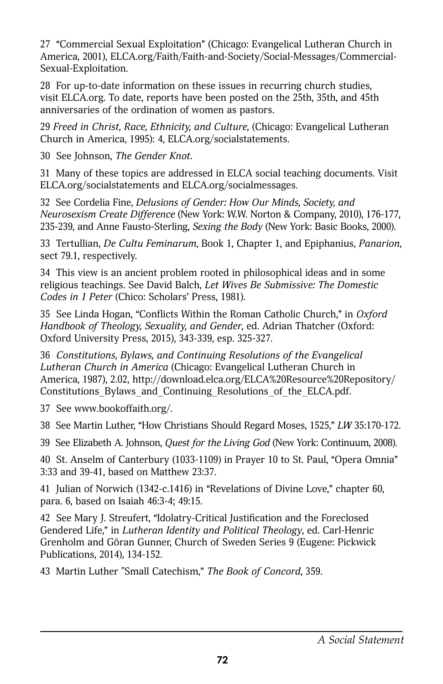27 "Commercial Sexual Exploitation" (Chicago: Evangelical Lutheran Church in America, 2001), [ELCA.org/Faith/Faith-and-Society/Social-Messages/Commercial-](http://www.elca.org/Faith/Faith-and-Society/Social-Messages/Commercial-Sexual-Exploitation)[Sexual-Exploitation.](http://www.elca.org/Faith/Faith-and-Society/Social-Messages/Commercial-Sexual-Exploitation)

28 For up-to-date information on these issues in recurring church studies, visit [ELCA.org.](http://www.ELCA.org) To date, reports have been posted on the 25th, 35th, and 45th anniversaries of the ordination of women as pastors.

29 *Freed in Christ*, *Race, Ethnicity, and Culture*, (Chicago: Evangelical Lutheran Church in America, 1995): 4, [ELCA.org/socialstatements.](http://www.ELCA.org/socialstatements)

30 See Johnson, *The Gender Knot.*

31 Many of these topics are addressed in ELCA social teaching documents. Visit [ELCA.org/socialstatements and ELCA.org/socialmessages](http://www.ELCA.org/socialstatements and ELCA.org/socialmessages).

32 See Cordelia Fine, *Delusions of Gender: How Our Minds, Society, and Neurosexism Create Difference* (New York: W.W. Norton & Company, 2010), 176-177, 235-239, and Anne Fausto-Sterling, *Sexing the Body* (New York: Basic Books, 2000).

33 Tertullian, *De Cultu Feminarum*, Book 1, Chapter 1, and Epiphanius, *Panarion*, sect 79.1, respectively.

34 This view is an ancient problem rooted in philosophical ideas and in some religious teachings. See David Balch, *Let Wives Be Submissive: The Domestic Codes in 1 Peter* (Chico: Scholars' Press, 1981).

35 See Linda Hogan, "Conflicts Within the Roman Catholic Church," in *Oxford Handbook of Theology, Sexuality, and Gender*, ed. Adrian Thatcher (Oxford: Oxford University Press, 2015), 343-339, esp. 325-327.

36 *Constitutions, Bylaws, and Continuing Resolutions of the Evangelical Lutheran Church in America* (Chicago: Evangelical Lutheran Church in America, 1987), 2.02, [http://download.elca.org/ELCA%20Resource%20Repository/](http://download.elca.org/ELCA%20Resource%20Repository/Constitutions_Bylaws_and_Continuing_Resolutions_of_the_ELCA.pdf) Constitutions Bylaws and Continuing Resolutions of the ELCA.pdf.

37 See [www.bookoffaith.org/](http://www.bookoffaith.org).

38 See Martin Luther, "How Christians Should Regard Moses, 1525," *LW* 35:170-172.

39 See Elizabeth A. Johnson, *Quest for the Living God* (New York: Continuum, 2008).

40 St. Anselm of Canterbury (1033-1109) in Prayer 10 to St. Paul, "Opera Omnia" 3:33 and 39-41, based on Matthew 23:37.

41 Julian of Norwich (1342-c.1416) in "Revelations of Divine Love," chapter 60, para. 6, based on Isaiah 46:3-4; 49:15.

42 See Mary J. Streufert, "Idolatry-Critical Justification and the Foreclosed Gendered Life," in *Lutheran Identity and Political Theology*, ed. Carl-Henric Grenholm and Göran Gunner, Church of Sweden Series 9 (Eugene: Pickwick Publications, 2014), 134-152.

43 Martin Luther "Small Catechism," *The Book of Concord*, 359.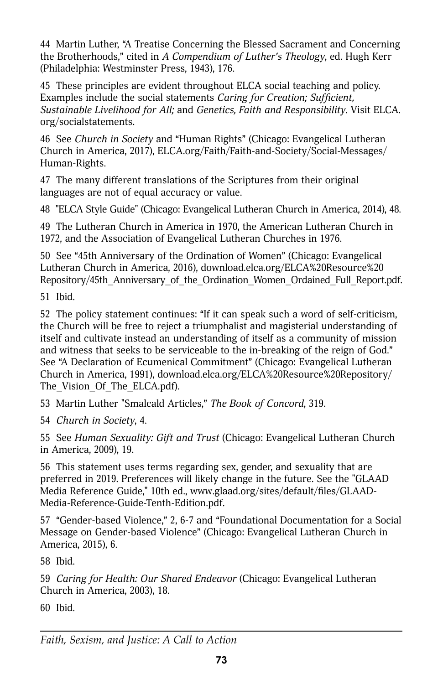44 Martin Luther, "A Treatise Concerning the Blessed Sacrament and Concerning the Brotherhoods," cited in *A Compendium of Luther's Theology*, ed. Hugh Kerr (Philadelphia: Westminster Press, 1943), 176.

45 These principles are evident throughout ELCA social teaching and policy. Examples include the social statements *Caring for Creation; Sufficient, Sustainable Livelihood for All;* and *Genetics, Faith and Responsibility*. Visit [ELCA.](http://www.ELCA.org/socialstatements) [org/socialstatements.](http://www.ELCA.org/socialstatements)

46 See *Church in Society* and "Human Rights" (Chicago: Evangelical Lutheran Church in America, 2017), [ELCA.org/Faith/Faith-and-Society/Social-Messages/](http://www.elca.org/Faith/Faith-and-Society/Social-Messages/Human-Rights) [Human-Rights.](http://www.elca.org/Faith/Faith-and-Society/Social-Messages/Human-Rights)

47 The many different translations of the Scriptures from their original languages are not of equal accuracy or value.

48 "ELCA Style Guide" (Chicago: Evangelical Lutheran Church in America, 2014), 48.

49 The Lutheran Church in America in 1970, the American Lutheran Church in 1972, and the Association of Evangelical Lutheran Churches in 1976.

50 See "45th Anniversary of the Ordination of Women" (Chicago: Evangelical Lutheran Church in America, 2016), [download.elca.org/ELCA%20Resource%20](http://download.elca.org/ELCA%20Resource%20Repository/45th_Anniversary_of_the_Ordination_Women_Ordained_Full_Report.pdf) [Repository/45th\\_Anniversary\\_of\\_the\\_Ordination\\_Women\\_Ordained\\_Full\\_Report.pdf.](http://download.elca.org/ELCA%20Resource%20Repository/45th_Anniversary_of_the_Ordination_Women_Ordained_Full_Report.pdf)

51 Ibid.

52 The policy statement continues: "If it can speak such a word of self-criticism, the Church will be free to reject a triumphalist and magisterial understanding of itself and cultivate instead an understanding of itself as a community of mission and witness that seeks to be serviceable to the in-breaking of the reign of God." See "A Declaration of Ecumenical Commitment" (Chicago: Evangelical Lutheran Church in America, 1991), [download.elca.org/ELCA%20Resource%20Repository/](http://download.elca.org/ELCA%20Resource%20Repository/The_Vision_Of_The_ELCA.pdf) The Vision Of The ELCA.pdf).

53 Martin Luther "Smalcald Articles," *The Book of Concord*, 319.

54 *Church in Society*, 4.

55 See *Human Sexuality: Gift and Trust* (Chicago: Evangelical Lutheran Church in America, 2009), 19.

56 This statement uses terms regarding sex, gender, and sexuality that are preferred in 2019. Preferences will likely change in the future. See the "GLAAD Media Reference Guide," 10th ed., [www.glaad.org/sites/default/files/GLAAD-](http://www.www.glaad.org/sites/default/files/GLAAD-Media-Reference-Guide-Tenth-Edition.pdf)[Media-Reference-Guide-Tenth-Edition.pdf](http://www.www.glaad.org/sites/default/files/GLAAD-Media-Reference-Guide-Tenth-Edition.pdf).

57 "Gender-based Violence," 2, 6-7 and "Foundational Documentation for a Social Message on Gender-based Violence" (Chicago: Evangelical Lutheran Church in America, 2015), 6.

58 Ibid.

59 *Caring for Health: Our Shared Endeavor* (Chicago: Evangelical Lutheran Church in America, 2003), 18.

60 Ibid.

*Faith, Sexism, and Justice: A Call to Action*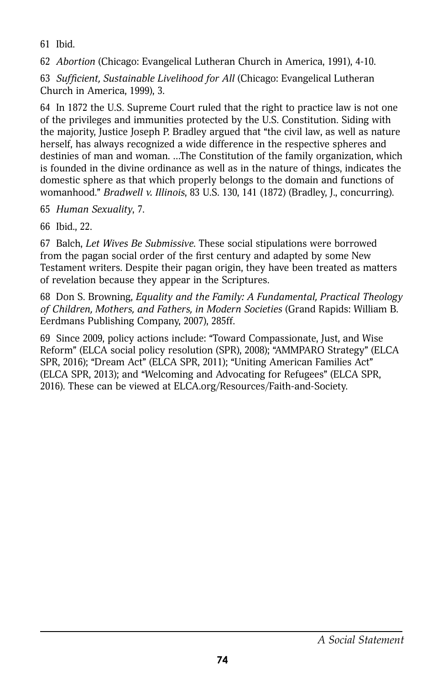61 Ibid.

62 *Abortion* (Chicago: Evangelical Lutheran Church in America, 1991), 4-10.

63 *Sufficient, Sustainable Livelihood for All* (Chicago: Evangelical Lutheran Church in America, 1999), 3.

64 In 1872 the U.S. Supreme Court ruled that the right to practice law is not one of the privileges and immunities protected by the U.S. Constitution. Siding with the majority, Justice Joseph P. Bradley argued that "the civil law, as well as nature herself, has always recognized a wide difference in the respective spheres and destinies of man and woman. …The Constitution of the family organization, which is founded in the divine ordinance as well as in the nature of things, indicates the domestic sphere as that which properly belongs to the domain and functions of womanhood." *Bradwell v. Illinois*, 83 U.S. 130, 141 (1872) (Bradley, J., concurring).

65 *Human Sexuality*, 7.

66 Ibid., 22.

67 Balch, *Let Wives Be Submissive*. These social stipulations were borrowed from the pagan social order of the first century and adapted by some New Testament writers. Despite their pagan origin, they have been treated as matters of revelation because they appear in the Scriptures.

68 Don S. Browning, *Equality and the Family: A Fundamental, Practical Theology of Children, Mothers, and Fathers, in Modern Societies* (Grand Rapids: William B. Eerdmans Publishing Company, 2007), 285ff.

69 Since 2009, policy actions include: "Toward Compassionate, Just, and Wise Reform" (ELCA social policy resolution (SPR), 2008); "AMMPARO Strategy" (ELCA SPR, 2016); "Dream Act" (ELCA SPR, 2011); "Uniting American Families Act" (ELCA SPR, 2013); and "Welcoming and Advocating for Refugees" (ELCA SPR, 2016). These can be viewed at [ELCA.org/Resources/Faith-and-Society](http://www.ELCA.org/Resources/Faith-and-Society).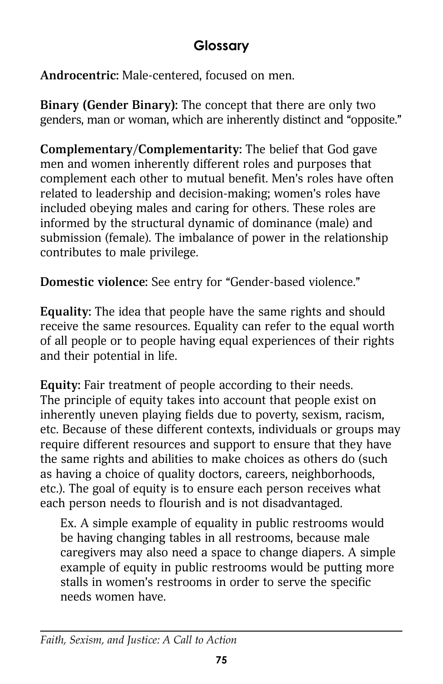## **Glossary**

**Androcentric:** Male-centered, focused on men.

**Binary (Gender Binary):** The concept that there are only two genders, man or woman, which are inherently distinct and "opposite."

**Complementary/Complementarity:** The belief that God gave men and women inherently different roles and purposes that complement each other to mutual benefit. Men's roles have often related to leadership and decision-making; women's roles have included obeying males and caring for others. These roles are informed by the structural dynamic of dominance (male) and submission (female). The imbalance of power in the relationship contributes to male privilege.

**Domestic violence:** See entry for "Gender-based violence."

**Equality:** The idea that people have the same rights and should receive the same resources. Equality can refer to the equal worth of all people or to people having equal experiences of their rights and their potential in life.

**Equity:** Fair treatment of people according to their needs. The principle of equity takes into account that people exist on inherently uneven playing fields due to poverty, sexism, racism, etc. Because of these different contexts, individuals or groups may require different resources and support to ensure that they have the same rights and abilities to make choices as others do (such as having a choice of quality doctors, careers, neighborhoods, etc.). The goal of equity is to ensure each person receives what each person needs to flourish and is not disadvantaged.

Ex. A simple example of equality in public restrooms would be having changing tables in all restrooms, because male caregivers may also need a space to change diapers. A simple example of equity in public restrooms would be putting more stalls in women's restrooms in order to serve the specific needs women have.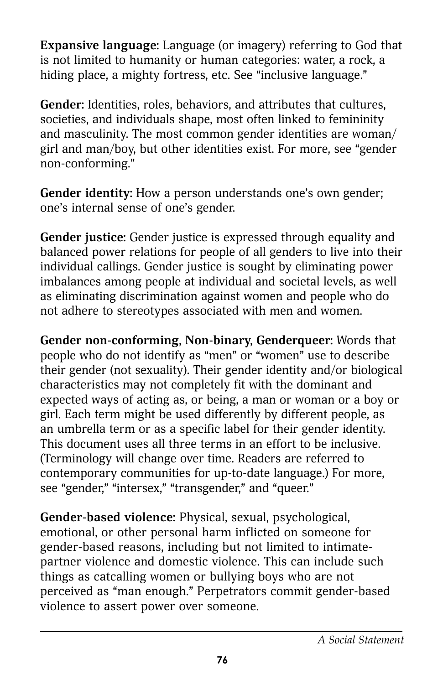**Expansive language:** Language (or imagery) referring to God that is not limited to humanity or human categories: water, a rock, a hiding place, a mighty fortress, etc. See "inclusive language."

**Gender:** Identities, roles, behaviors, and attributes that cultures, societies, and individuals shape, most often linked to femininity and masculinity. The most common gender identities are woman/ girl and man/boy, but other identities exist. For more, see "gender non-conforming."

Gender identity: How a person understands one's own gender; one's internal sense of one's gender.

**Gender justice:** Gender justice is expressed through equality and balanced power relations for people of all genders to live into their individual callings. Gender justice is sought by eliminating power imbalances among people at individual and societal levels, as well as eliminating discrimination against women and people who do not adhere to stereotypes associated with men and women.

**Gender non-conforming, Non-binary, Genderqueer:** Words that people who do not identify as "men" or "women" use to describe their gender (not sexuality). Their gender identity and/or biological characteristics may not completely fit with the dominant and expected ways of acting as, or being, a man or woman or a boy or girl. Each term might be used differently by different people, as an umbrella term or as a specific label for their gender identity. This document uses all three terms in an effort to be inclusive. (Terminology will change over time. Readers are referred to contemporary communities for up-to-date language.) For more, see "gender," "intersex," "transgender," and "queer."

**Gender-based violence:** Physical, sexual, psychological, emotional, or other personal harm inflicted on someone for gender-based reasons, including but not limited to intimatepartner violence and domestic violence. This can include such things as catcalling women or bullying boys who are not perceived as "man enough." Perpetrators commit gender-based violence to assert power over someone.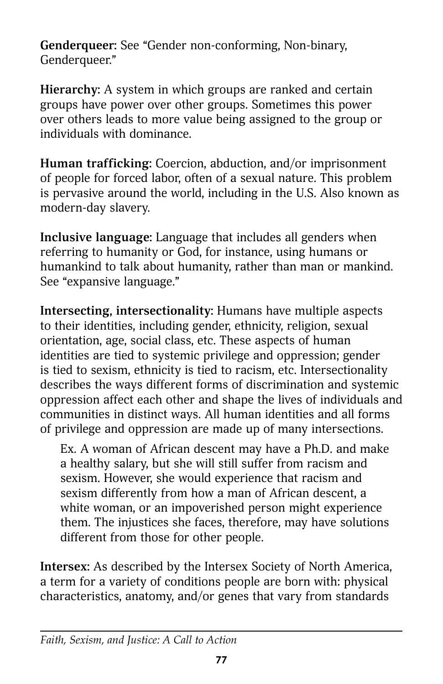**Genderqueer:** See "Gender non-conforming, Non-binary, Genderqueer."

**Hierarchy:** A system in which groups are ranked and certain groups have power over other groups. Sometimes this power over others leads to more value being assigned to the group or individuals with dominance.

**Human trafficking:** Coercion, abduction, and/or imprisonment of people for forced labor, often of a sexual nature. This problem is pervasive around the world, including in the U.S. Also known as modern-day slavery.

**Inclusive language:** Language that includes all genders when referring to humanity or God, for instance, using humans or humankind to talk about humanity, rather than man or mankind. See "expansive language."

**Intersecting, intersectionality:** Humans have multiple aspects to their identities, including gender, ethnicity, religion, sexual orientation, age, social class, etc. These aspects of human identities are tied to systemic privilege and oppression; gender is tied to sexism, ethnicity is tied to racism, etc. Intersectionality describes the ways different forms of discrimination and systemic oppression affect each other and shape the lives of individuals and communities in distinct ways. All human identities and all forms of privilege and oppression are made up of many intersections.

Ex. A woman of African descent may have a Ph.D. and make a healthy salary, but she will still suffer from racism and sexism. However, she would experience that racism and sexism differently from how a man of African descent, a white woman, or an impoverished person might experience them. The injustices she faces, therefore, may have solutions different from those for other people.

**Intersex:** As described by the Intersex Society of North America, a term for a variety of conditions people are born with: physical characteristics, anatomy, and/or genes that vary from standards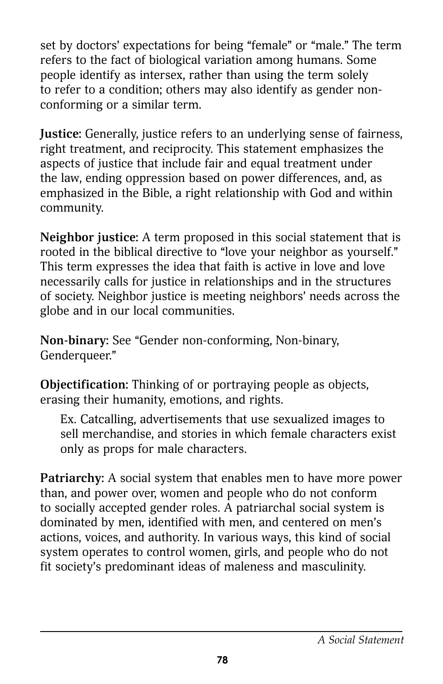set by doctors' expectations for being "female" or "male." The term refers to the fact of biological variation among humans. Some people identify as intersex, rather than using the term solely to refer to a condition; others may also identify as gender nonconforming or a similar term.

**Justice:** Generally, justice refers to an underlying sense of fairness, right treatment, and reciprocity. This statement emphasizes the aspects of justice that include fair and equal treatment under the law, ending oppression based on power differences, and, as emphasized in the Bible, a right relationship with God and within community.

**Neighbor justice:** A term proposed in this social statement that is rooted in the biblical directive to "love your neighbor as yourself." This term expresses the idea that faith is active in love and love necessarily calls for justice in relationships and in the structures of society. Neighbor justice is meeting neighbors' needs across the globe and in our local communities.

**Non-binary:** See "Gender non-conforming, Non-binary, Genderqueer."

**Objectification:** Thinking of or portraying people as objects, erasing their humanity, emotions, and rights.

Ex. Catcalling, advertisements that use sexualized images to sell merchandise, and stories in which female characters exist only as props for male characters.

**Patriarchy:** A social system that enables men to have more power than, and power over, women and people who do not conform to socially accepted gender roles. A patriarchal social system is dominated by men, identified with men, and centered on men's actions, voices, and authority. In various ways, this kind of social system operates to control women, girls, and people who do not fit society's predominant ideas of maleness and masculinity.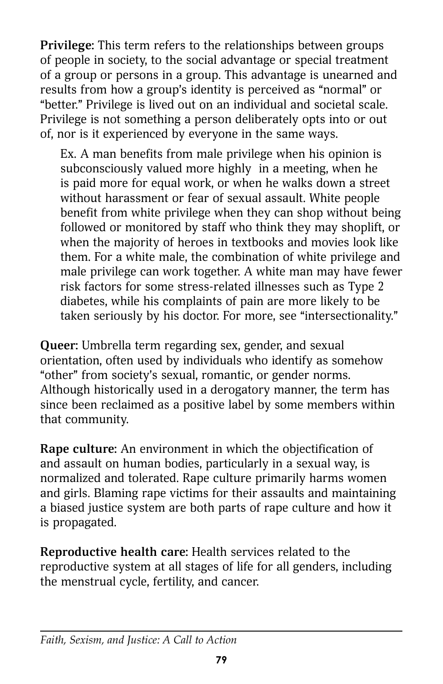**Privilege:** This term refers to the relationships between groups of people in society, to the social advantage or special treatment of a group or persons in a group. This advantage is unearned and results from how a group's identity is perceived as "normal" or "better." Privilege is lived out on an individual and societal scale. Privilege is not something a person deliberately opts into or out of, nor is it experienced by everyone in the same ways.

Ex. A man benefits from male privilege when his opinion is subconsciously valued more highly in a meeting, when he is paid more for equal work, or when he walks down a street without harassment or fear of sexual assault. White people benefit from white privilege when they can shop without being followed or monitored by staff who think they may shoplift, or when the majority of heroes in textbooks and movies look like them. For a white male, the combination of white privilege and male privilege can work together. A white man may have fewer risk factors for some stress-related illnesses such as Type 2 diabetes, while his complaints of pain are more likely to be taken seriously by his doctor. For more, see "intersectionality."

**Queer:** Umbrella term regarding sex, gender, and sexual orientation, often used by individuals who identify as somehow "other" from society's sexual, romantic, or gender norms. Although historically used in a derogatory manner, the term has since been reclaimed as a positive label by some members within that community.

**Rape culture:** An environment in which the objectification of and assault on human bodies, particularly in a sexual way, is normalized and tolerated. Rape culture primarily harms women and girls. Blaming rape victims for their assaults and maintaining a biased justice system are both parts of rape culture and how it is propagated.

**Reproductive health care:** Health services related to the reproductive system at all stages of life for all genders, including the menstrual cycle, fertility, and cancer.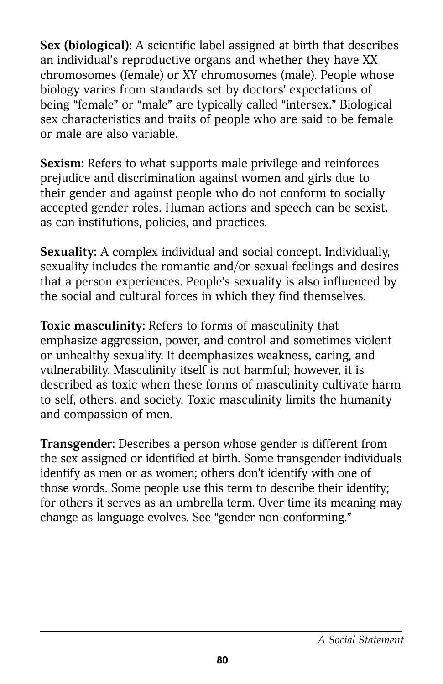**Sex (biological):** A scientific label assigned at birth that describes an individual's reproductive organs and whether they have XX chromosomes (female) or XY chromosomes (male). People whose biology varies from standards set by doctors' expectations of being "female" or "male" are typically called "intersex." Biological sex characteristics and traits of people who are said to be female or male are also variable.

**Sexism:** Refers to what supports male privilege and reinforces prejudice and discrimination against women and girls due to their gender and against people who do not conform to socially accepted gender roles. Human actions and speech can be sexist, as can institutions, policies, and practices.

**Sexuality:** A complex individual and social concept. Individually, sexuality includes the romantic and/or sexual feelings and desires that a person experiences. People's sexuality is also influenced by the social and cultural forces in which they find themselves.

**Toxic masculinity:** Refers to forms of masculinity that emphasize aggression, power, and control and sometimes violent or unhealthy sexuality. It deemphasizes weakness, caring, and vulnerability. Masculinity itself is not harmful; however, it is described as toxic when these forms of masculinity cultivate harm to self, others, and society. Toxic masculinity limits the humanity and compassion of men.

**Transgender:** Describes a person whose gender is different from the sex assigned or identified at birth. Some transgender individuals identify as men or as women; others don't identify with one of those words. Some people use this term to describe their identity; for others it serves as an umbrella term. Over time its meaning may change as language evolves. See "gender non-conforming."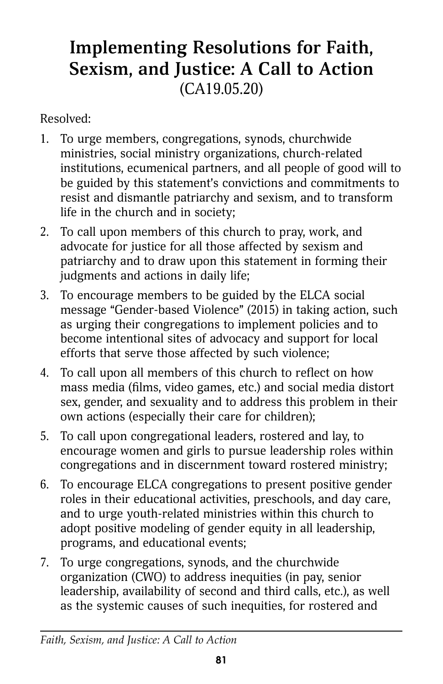# **Implementing Resolutions for Faith, Sexism, and Justice: A Call to Action** (CA19.05.20)

Resolved:

- 1. To urge members, congregations, synods, churchwide ministries, social ministry organizations, church-related institutions, ecumenical partners, and all people of good will to be guided by this statement's convictions and commitments to resist and dismantle patriarchy and sexism, and to transform life in the church and in society;
- 2. To call upon members of this church to pray, work, and advocate for justice for all those affected by sexism and patriarchy and to draw upon this statement in forming their judgments and actions in daily life;
- 3. To encourage members to be guided by the ELCA social message "Gender-based Violence" (2015) in taking action, such as urging their congregations to implement policies and to become intentional sites of advocacy and support for local efforts that serve those affected by such violence;
- 4. To call upon all members of this church to reflect on how mass media (films, video games, etc.) and social media distort sex, gender, and sexuality and to address this problem in their own actions (especially their care for children);
- 5. To call upon congregational leaders, rostered and lay, to encourage women and girls to pursue leadership roles within congregations and in discernment toward rostered ministry;
- 6. To encourage ELCA congregations to present positive gender roles in their educational activities, preschools, and day care, and to urge youth-related ministries within this church to adopt positive modeling of gender equity in all leadership, programs, and educational events;
- 7. To urge congregations, synods, and the churchwide organization (CWO) to address inequities (in pay, senior leadership, availability of second and third calls, etc.), as well as the systemic causes of such inequities, for rostered and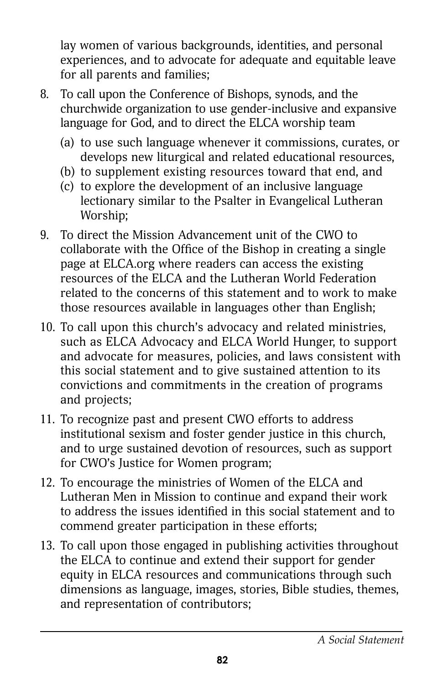lay women of various backgrounds, identities, and personal experiences, and to advocate for adequate and equitable leave for all parents and families;

- 8. To call upon the Conference of Bishops, synods, and the churchwide organization to use gender-inclusive and expansive language for God, and to direct the ELCA worship team
	- (a) to use such language whenever it commissions, curates, or develops new liturgical and related educational resources,
	- (b) to supplement existing resources toward that end, and
	- (c) to explore the development of an inclusive language lectionary similar to the Psalter in Evangelical Lutheran Worship;
- 9. To direct the Mission Advancement unit of the CWO to collaborate with the Office of the Bishop in creating a single page at ELCA.org where readers can access the existing resources of the ELCA and the Lutheran World Federation related to the concerns of this statement and to work to make those resources available in languages other than English;
- 10. To call upon this church's advocacy and related ministries, such as ELCA Advocacy and ELCA World Hunger, to support and advocate for measures, policies, and laws consistent with this social statement and to give sustained attention to its convictions and commitments in the creation of programs and projects;
- 11. To recognize past and present CWO efforts to address institutional sexism and foster gender justice in this church, and to urge sustained devotion of resources, such as support for CWO's Justice for Women program;
- 12. To encourage the ministries of Women of the ELCA and Lutheran Men in Mission to continue and expand their work to address the issues identified in this social statement and to commend greater participation in these efforts;
- 13. To call upon those engaged in publishing activities throughout the ELCA to continue and extend their support for gender equity in ELCA resources and communications through such dimensions as language, images, stories, Bible studies, themes, and representation of contributors;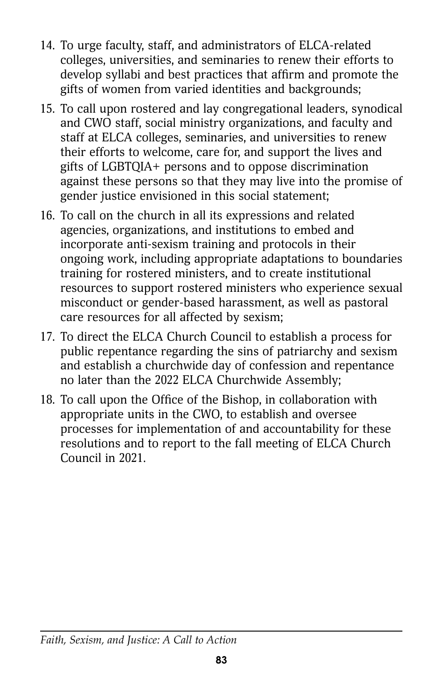- 14. To urge faculty, staff, and administrators of ELCA-related colleges, universities, and seminaries to renew their efforts to develop syllabi and best practices that affirm and promote the gifts of women from varied identities and backgrounds;
- 15. To call upon rostered and lay congregational leaders, synodical and CWO staff, social ministry organizations, and faculty and staff at ELCA colleges, seminaries, and universities to renew their efforts to welcome, care for, and support the lives and gifts of LGBTQIA+ persons and to oppose discrimination against these persons so that they may live into the promise of gender justice envisioned in this social statement;
- 16. To call on the church in all its expressions and related agencies, organizations, and institutions to embed and incorporate anti-sexism training and protocols in their ongoing work, including appropriate adaptations to boundaries training for rostered ministers, and to create institutional resources to support rostered ministers who experience sexual misconduct or gender-based harassment, as well as pastoral care resources for all affected by sexism;
- 17. To direct the ELCA Church Council to establish a process for public repentance regarding the sins of patriarchy and sexism and establish a churchwide day of confession and repentance no later than the 2022 ELCA Churchwide Assembly;
- 18. To call upon the Office of the Bishop, in collaboration with appropriate units in the CWO, to establish and oversee processes for implementation of and accountability for these resolutions and to report to the fall meeting of ELCA Church Council in 2021.

#### *Faith, Sexism, and Justice: A Call to Action*